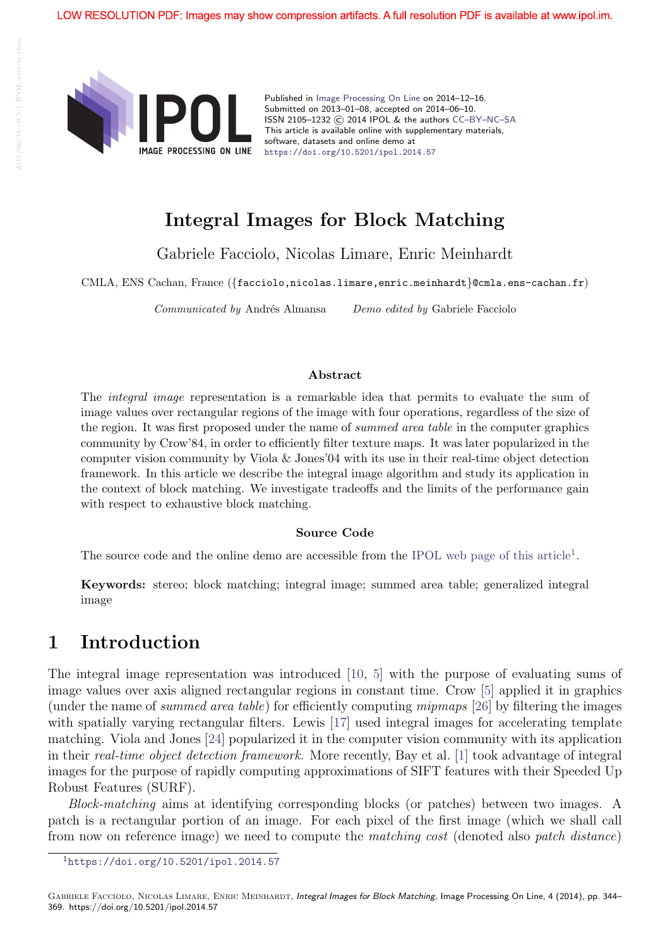

Published in Image Processing On Line on 2014–12–16. Submitted on 2013–01–08, accepted on 2014–06–10. ISSN 2105–1232 © 2014 IPOL & the authors CC–BY–NC–SA This article is available online with supplementary materials, software, datasets and online demo at https://doi.org/10.5201/ipol.2014.57

# Integral Images for Block Matching

Gabriele Facciolo, Nicolas Limare, Enric Meinhardt

CMLA, ENS Cachan, France ({facciolo,nicolas.limare,enric.meinhardt}@cmla.ens-cachan.fr)

Communicated by Andrés Almansa Demo edited by Gabriele Facciolo

#### Abstract

The integral image representation is a remarkable idea that permits to evaluate the sum of image values over rectangular regions of the image with four operations, regardless of the size of the region. It was first proposed under the name of summed area table in the computer graphics community by Crow'84, in order to efficiently filter texture maps. It was later popularized in the computer vision community by Viola & Jones'04 with its use in their real-time object detection framework. In this article we describe the integral image algorithm and study its application in the context of block matching. We investigate tradeoffs and the limits of the performance gain with respect to exhaustive block matching.

#### Source Code

The source code and the online demo are accessible from the IPOL web page of this article<sup>1</sup>.

Keywords: stereo; block matching; integral image; summed area table; generalized integral image

## 1 Introduction

The integral image representation was introduced [10, 5] with the purpose of evaluating sums of image values over axis aligned rectangular regions in constant time. Crow [5] applied it in graphics (under the name of summed area table) for efficiently computing mipmaps [26] by filtering the images with spatially varying rectangular filters. Lewis [17] used integral images for accelerating template matching. Viola and Jones [24] popularized it in the computer vision community with its application in their real-time object detection framework. More recently, Bay et al. [1] took advantage of integral images for the purpose of rapidly computing approximations of SIFT features with their Speeded Up Robust Features (SURF).

Block-matching aims at identifying corresponding blocks (or patches) between two images. A patch is a rectangular portion of an image. For each pixel of the first image (which we shall call from now on reference image) we need to compute the matching cost (denoted also patch distance)

<sup>1</sup>https://doi.org/10.5201/ipol.2014.57

GABRIELE FACCIOLO, NICOLAS LIMARE, ENRIC MEINHARDT, Integral Images for Block Matching, Image Processing On Line, 4 (2014), pp. 344– 369. https://doi.org/10.5201/ipol.2014.57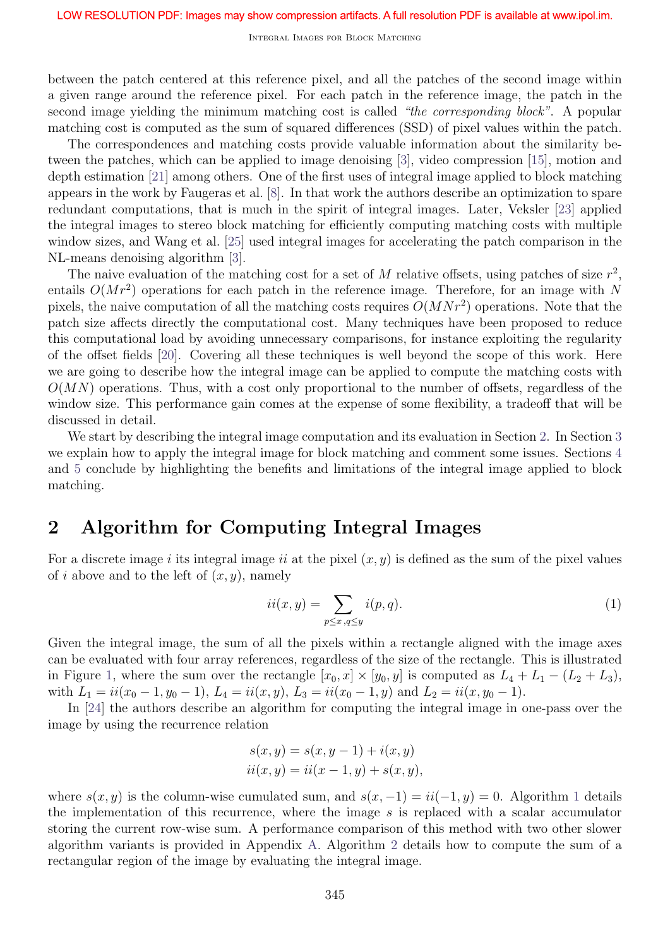Integral Images for Block Matching

between the patch centered at this reference pixel, and all the patches of the second image within a given range around the reference pixel. For each patch in the reference image, the patch in the second image yielding the minimum matching cost is called "the corresponding block". A popular matching cost is computed as the sum of squared differences (SSD) of pixel values within the patch.

The correspondences and matching costs provide valuable information about the similarity between the patches, which can be applied to image denoising [3], video compression [15], motion and depth estimation [21] among others. One of the first uses of integral image applied to block matching appears in the work by Faugeras et al. [8]. In that work the authors describe an optimization to spare redundant computations, that is much in the spirit of integral images. Later, Veksler [23] applied the integral images to stereo block matching for efficiently computing matching costs with multiple window sizes, and Wang et al. [25] used integral images for accelerating the patch comparison in the NL-means denoising algorithm [3].

The naive evaluation of the matching cost for a set of  $M$  relative offsets, using patches of size  $r^2$ , entails  $O(Mr^2)$  operations for each patch in the reference image. Therefore, for an image with N pixels, the naive computation of all the matching costs requires  $O(MNr^2)$  operations. Note that the patch size affects directly the computational cost. Many techniques have been proposed to reduce this computational load by avoiding unnecessary comparisons, for instance exploiting the regularity of the offset fields [20]. Covering all these techniques is well beyond the scope of this work. Here we are going to describe how the integral image can be applied to compute the matching costs with  $O(MN)$  operations. Thus, with a cost only proportional to the number of offsets, regardless of the window size. This performance gain comes at the expense of some flexibility, a tradeoff that will be discussed in detail.

We start by describing the integral image computation and its evaluation in Section 2. In Section 3 we explain how to apply the integral image for block matching and comment some issues. Sections 4 and 5 conclude by highlighting the benefits and limitations of the integral image applied to block matching.

## 2 Algorithm for Computing Integral Images

For a discrete image i its integral image ii at the pixel  $(x, y)$  is defined as the sum of the pixel values of i above and to the left of  $(x, y)$ , namely

$$
ii(x,y) = \sum_{p \le x, q \le y} i(p,q). \tag{1}
$$

Given the integral image, the sum of all the pixels within a rectangle aligned with the image axes can be evaluated with four array references, regardless of the size of the rectangle. This is illustrated in Figure 1, where the sum over the rectangle  $[x_0, x] \times [y_0, y]$  is computed as  $L_4 + L_1 - (L_2 + L_3)$ , with  $L_1 = i i(x_0 - 1, y_0 - 1), L_4 = i i(x, y), L_3 = i i(x_0 - 1, y)$  and  $L_2 = i i(x, y_0 - 1)$ .

In [24] the authors describe an algorithm for computing the integral image in one-pass over the image by using the recurrence relation

$$
s(x, y) = s(x, y - 1) + i(x, y)
$$
  
ii(x, y) = ii(x - 1, y) + s(x, y),

where  $s(x, y)$  is the column-wise cumulated sum, and  $s(x, -1) = ii(-1, y) = 0$ . Algorithm 1 details the implementation of this recurrence, where the image s is replaced with a scalar accumulator storing the current row-wise sum. A performance comparison of this method with two other slower algorithm variants is provided in Appendix A. Algorithm 2 details how to compute the sum of a rectangular region of the image by evaluating the integral image.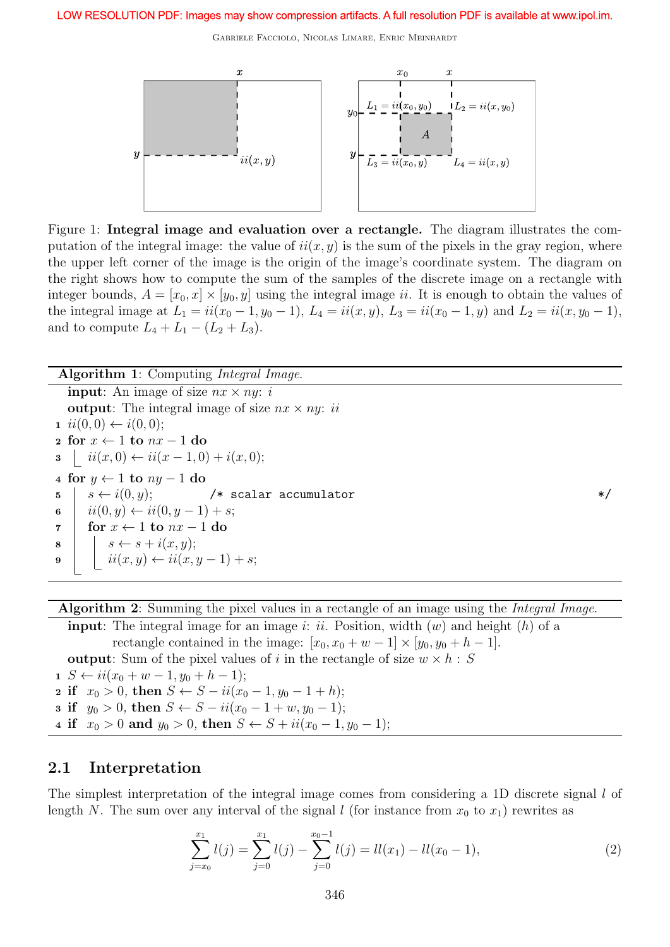

Figure 1: Integral image and evaluation over a rectangle. The diagram illustrates the computation of the integral image: the value of  $ii(x, y)$  is the sum of the pixels in the gray region, where the upper left corner of the image is the origin of the image's coordinate system. The diagram on the right shows how to compute the sum of the samples of the discrete image on a rectangle with integer bounds,  $A = [x_0, x] \times [y_0, y]$  using the integral image ii. It is enough to obtain the values of the integral image at  $L_1 = ii(x_0 - 1, y_0 - 1), L_4 = ii(x, y), L_3 = ii(x_0 - 1, y)$  and  $L_2 = ii(x, y_0 - 1),$ and to compute  $L_4 + L_1 - (L_2 + L_3)$ .

| <b>Algorithm 1:</b> Computing <i>Integral Image.</i>          |         |
|---------------------------------------------------------------|---------|
| <b>input:</b> An image of size $nx \times ny$ : i             |         |
| <b>output:</b> The integral image of size $nx \times ny$ : ii |         |
| $i(i(0,0) \leftarrow i(0,0);$                                 |         |
| 2 for $x \leftarrow 1$ to $nx - 1$ do                         |         |
| $\mathbf{a} \mid ii(x,0) \leftarrow ii(x-1,0) + i(x,0);$      |         |
| 4 for $y \leftarrow 1$ to $ny - 1$ do                         |         |
| 5 $s \leftarrow i(0, y);$ /* scalar accumulator               | $\ast/$ |
| 6 $ii(0, y) \leftarrow ii(0, y - 1) + s;$                     |         |
| for $x \leftarrow 1$ to $nx - 1$ do<br>$\overline{7}$         |         |
| $s \leftarrow s + i(x, y);$<br>8                              |         |
| $ii(x, y) \leftarrow ii(x, y - 1) + s;$<br>$\overline{9}$     |         |
|                                                               |         |

Algorithm 2: Summing the pixel values in a rectangle of an image using the *Integral Image*.

**input**: The integral image for an image i: ii. Position, width  $(w)$  and height  $(h)$  of a rectangle contained in the image:  $[x_0, x_0 + w - 1] \times [y_0, y_0 + h - 1]$ . **output:** Sum of the pixel values of i in the rectangle of size  $w \times h$  : S 1  $S \leftarrow ii(x_0 + w - 1, y_0 + h - 1);$ 

2 if  $x_0 > 0$ , then  $S \leftarrow S - ii(x_0 - 1, y_0 - 1 + h);$ 3 if  $y_0 > 0$ , then  $S \leftarrow S - ii(x_0 - 1 + w, y_0 - 1);$ 4 if  $x_0 > 0$  and  $y_0 > 0$ , then  $S \leftarrow S + ii(x_0 - 1, y_0 - 1);$ 

### 2.1 Interpretation

The simplest interpretation of the integral image comes from considering a 1D discrete signal l of length N. The sum over any interval of the signal l (for instance from  $x_0$  to  $x_1$ ) rewrites as

$$
\sum_{j=x_0}^{x_1} l(j) = \sum_{j=0}^{x_1} l(j) - \sum_{j=0}^{x_0-1} l(j) = ll(x_1) - ll(x_0-1),
$$
\n(2)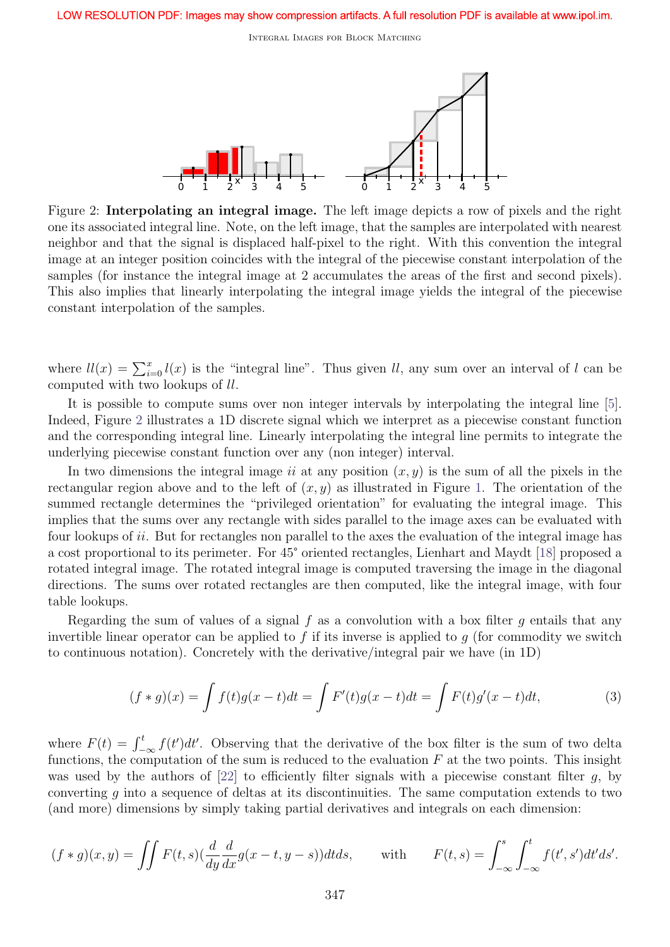Integral Images for Block Matching



Figure 2: Interpolating an integral image. The left image depicts a row of pixels and the right one its associated integral line. Note, on the left image, that the samples are interpolated with nearest neighbor and that the signal is displaced half-pixel to the right. With this convention the integral image at an integer position coincides with the integral of the piecewise constant interpolation of the samples (for instance the integral image at 2 accumulates the areas of the first and second pixels). This also implies that linearly interpolating the integral image yields the integral of the piecewise constant interpolation of the samples.

where  $ll(x) = \sum_{i=0}^{x} l(x)$  is the "integral line". Thus given l, any sum over an interval of l can be computed with two lookups of ll.

It is possible to compute sums over non integer intervals by interpolating the integral line [5]. Indeed, Figure 2 illustrates a 1D discrete signal which we interpret as a piecewise constant function and the corresponding integral line. Linearly interpolating the integral line permits to integrate the underlying piecewise constant function over any (non integer) interval.

In two dimensions the integral image ii at any position  $(x, y)$  is the sum of all the pixels in the rectangular region above and to the left of  $(x, y)$  as illustrated in Figure 1. The orientation of the summed rectangle determines the "privileged orientation" for evaluating the integral image. This implies that the sums over any rectangle with sides parallel to the image axes can be evaluated with four lookups of ii. But for rectangles non parallel to the axes the evaluation of the integral image has a cost proportional to its perimeter. For 45° oriented rectangles, Lienhart and Maydt [18] proposed a rotated integral image. The rotated integral image is computed traversing the image in the diagonal directions. The sums over rotated rectangles are then computed, like the integral image, with four table lookups.

Regarding the sum of values of a signal  $f$  as a convolution with a box filter  $g$  entails that any invertible linear operator can be applied to f if its inverse is applied to q (for commodity we switch to continuous notation). Concretely with the derivative/integral pair we have (in 1D)

$$
(f * g)(x) = \int f(t)g(x - t)dt = \int F'(t)g(x - t)dt = \int F(t)g'(x - t)dt,
$$
\n(3)

where  $F(t) = \int_{-\infty}^{t} f(t')dt'$ . Observing that the derivative of the box filter is the sum of two delta functions, the computation of the sum is reduced to the evaluation  $F$  at the two points. This insight was used by the authors of  $[22]$  to efficiently filter signals with a piecewise constant filter g, by converting  $g$  into a sequence of deltas at its discontinuities. The same computation extends to two (and more) dimensions by simply taking partial derivatives and integrals on each dimension:

$$
(f * g)(x, y) = \iint F(t, s) \left(\frac{d}{dy}\frac{d}{dx}g(x - t, y - s)\right) dt ds, \quad \text{with} \quad F(t, s) = \int_{-\infty}^{s} \int_{-\infty}^{t} f(t', s') dt' ds'.
$$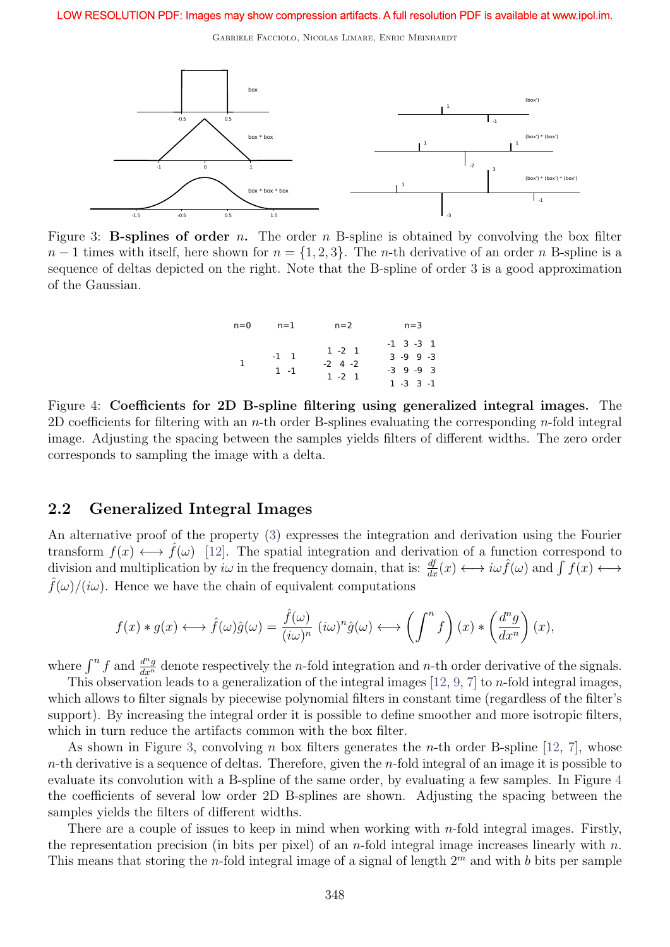

Figure 3: **B-splines of order** n. The order  $n$  B-spline is obtained by convolving the box filter  $n-1$  times with itself, here shown for  $n = \{1, 2, 3\}$ . The *n*-th derivative of an order *n* B-spline is a sequence of deltas depicted on the right. Note that the B-spline of order 3 is a good approximation of the Gaussian.

| $n=0$ | $n=1$             | $n=2$                                   | $n=3$                                            |  |
|-------|-------------------|-----------------------------------------|--------------------------------------------------|--|
|       | $-1$ 1<br>$1 - 1$ | $1 - 2 = 1$<br>$-2$ 4 $-2$<br>$1 - 2$ 1 | $-1$ 3 $-3$ 1<br>$3 - 9$ 9 $-3$<br>$-3$ 9 $-9$ 3 |  |
|       |                   |                                         | $1 - 3$ $3 - 1$                                  |  |

Figure 4: Coefficients for 2D B-spline filtering using generalized integral images. The 2D coefficients for filtering with an *n*-th order B-splines evaluating the corresponding *n*-fold integral image. Adjusting the spacing between the samples yields filters of different widths. The zero order corresponds to sampling the image with a delta.

### 2.2 Generalized Integral Images

An alternative proof of the property (3) expresses the integration and derivation using the Fourier transform  $f(x) \leftrightarrow \hat{f}(\omega)$  [12]. The spatial integration and derivation of a function correspond to division and multiplication by  $i\omega$  in the frequency domain, that is:  $\frac{df}{dx}(x) \longleftrightarrow i\omega \hat{f}(\omega)$  and  $\int f(x) \longleftrightarrow$  $\hat{f}(\omega)/(i\omega)$ . Hence we have the chain of equivalent computations

$$
f(x) * g(x) \longleftrightarrow \hat{f}(\omega)\hat{g}(\omega) = \frac{\hat{f}(\omega)}{(i\omega)^n} (i\omega)^n \hat{g}(\omega) \longleftrightarrow \left(\int^{\eta} f\right)(x) * \left(\frac{d^n g}{dx^n}\right)(x),
$$

where  $\int^n f$  and  $\frac{d^n g}{dx^n}$  denote respectively the *n*-fold integration and *n*-th order derivative of the signals.

This observation leads to a generalization of the integral images [12, 9, 7] to n-fold integral images, which allows to filter signals by piecewise polynomial filters in constant time (regardless of the filter's support). By increasing the integral order it is possible to define smoother and more isotropic filters, which in turn reduce the artifacts common with the box filter.

As shown in Figure 3, convolving n box filters generates the n-th order B-spline [12, 7], whose  $n$ -th derivative is a sequence of deltas. Therefore, given the  $n$ -fold integral of an image it is possible to evaluate its convolution with a B-spline of the same order, by evaluating a few samples. In Figure 4 the coefficients of several low order 2D B-splines are shown. Adjusting the spacing between the samples yields the filters of different widths.

There are a couple of issues to keep in mind when working with *n*-fold integral images. Firstly, the representation precision (in bits per pixel) of an *n*-fold integral image increases linearly with *n*. This means that storing the *n*-fold integral image of a signal of length  $2^m$  and with b bits per sample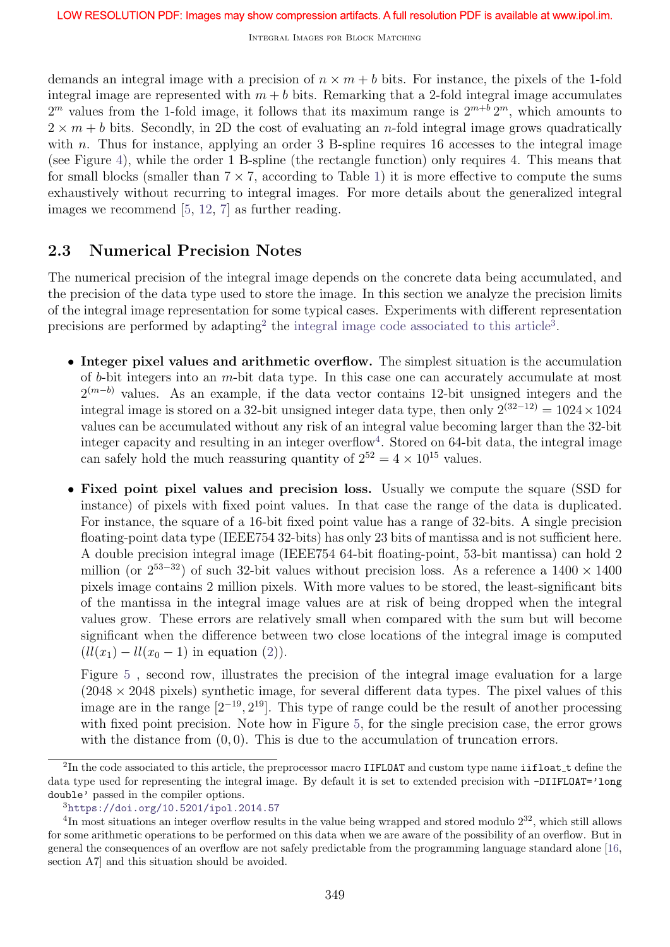demands an integral image with a precision of  $n \times m + b$  bits. For instance, the pixels of the 1-fold integral image are represented with  $m + b$  bits. Remarking that a 2-fold integral image accumulates  $2^m$  values from the 1-fold image, it follows that its maximum range is  $2^{m+b} 2^m$ , which amounts to  $2 \times m + b$  bits. Secondly, in 2D the cost of evaluating an *n*-fold integral image grows quadratically with n. Thus for instance, applying an order  $3$  B-spline requires 16 accesses to the integral image (see Figure 4), while the order 1 B-spline (the rectangle function) only requires 4. This means that for small blocks (smaller than  $7 \times 7$ , according to Table 1) it is more effective to compute the sums exhaustively without recurring to integral images. For more details about the generalized integral images we recommend [5, 12, 7] as further reading.

### 2.3 Numerical Precision Notes

The numerical precision of the integral image depends on the concrete data being accumulated, and the precision of the data type used to store the image. In this section we analyze the precision limits of the integral image representation for some typical cases. Experiments with different representation precisions are performed by adapting<sup>2</sup> the integral image code associated to this article<sup>3</sup>.

- Integer pixel values and arithmetic overflow. The simplest situation is the accumulation of b-bit integers into an m-bit data type. In this case one can accurately accumulate at most  $2^{(m-b)}$  values. As an example, if the data vector contains 12-bit unsigned integers and the integral image is stored on a 32-bit unsigned integer data type, then only  $2^{(32-12)} = 1024 \times 1024$ values can be accumulated without any risk of an integral value becoming larger than the 32-bit integer capacity and resulting in an integer overflow<sup>4</sup>. Stored on 64-bit data, the integral image can safely hold the much reassuring quantity of  $2^{52} = 4 \times 10^{15}$  values.
- Fixed point pixel values and precision loss. Usually we compute the square (SSD for instance) of pixels with fixed point values. In that case the range of the data is duplicated. For instance, the square of a 16-bit fixed point value has a range of 32-bits. A single precision floating-point data type (IEEE754 32-bits) has only 23 bits of mantissa and is not sufficient here. A double precision integral image (IEEE754 64-bit floating-point, 53-bit mantissa) can hold 2 million (or  $2^{53-32}$ ) of such 32-bit values without precision loss. As a reference a 1400 × 1400 pixels image contains 2 million pixels. With more values to be stored, the least-significant bits of the mantissa in the integral image values are at risk of being dropped when the integral values grow. These errors are relatively small when compared with the sum but will become significant when the difference between two close locations of the integral image is computed  $(ll(x_1) - ll(x_0 - 1)$  in equation (2)).

Figure 5 , second row, illustrates the precision of the integral image evaluation for a large  $(2048 \times 2048)$  pixels) synthetic image, for several different data types. The pixel values of this image are in the range  $[2^{-19}, 2^{19}]$ . This type of range could be the result of another processing with fixed point precision. Note how in Figure 5, for the single precision case, the error grows with the distance from  $(0, 0)$ . This is due to the accumulation of truncation errors.

 $^{2}$ In the code associated to this article, the preprocessor macro IIFLOAT and custom type name iifloat t define the data type used for representing the integral image. By default it is set to extended precision with -DIIFLOAT='long double' passed in the compiler options.

<sup>3</sup>https://doi.org/10.5201/ipol.2014.57

<sup>&</sup>lt;sup>4</sup>In most situations an integer overflow results in the value being wrapped and stored modulo  $2^{32}$ , which still allows for some arithmetic operations to be performed on this data when we are aware of the possibility of an overflow. But in general the consequences of an overflow are not safely predictable from the programming language standard alone [16, section A7] and this situation should be avoided.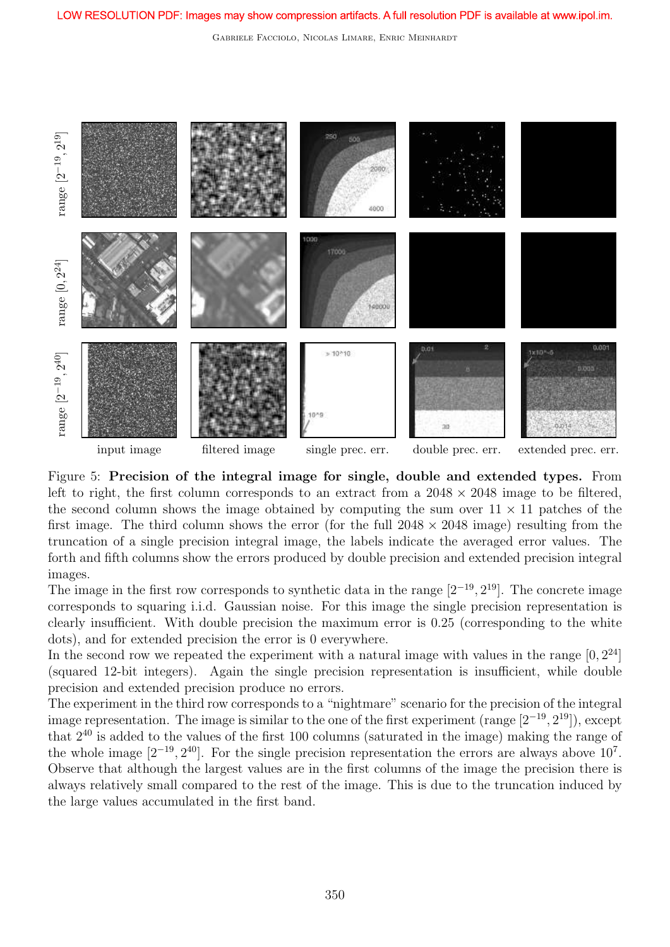Gabriele Facciolo, Nicolas Limare, Enric Meinhardt



Figure 5: Precision of the integral image for single, double and extended types. From left to right, the first column corresponds to an extract from a  $2048 \times 2048$  image to be filtered, the second column shows the image obtained by computing the sum over  $11 \times 11$  patches of the first image. The third column shows the error (for the full  $2048 \times 2048$  image) resulting from the truncation of a single precision integral image, the labels indicate the averaged error values. The forth and fifth columns show the errors produced by double precision and extended precision integral images.

The image in the first row corresponds to synthetic data in the range  $[2^{-19}, 2^{19}]$ . The concrete image corresponds to squaring i.i.d. Gaussian noise. For this image the single precision representation is clearly insufficient. With double precision the maximum error is 0.25 (corresponding to the white dots), and for extended precision the error is 0 everywhere.

In the second row we repeated the experiment with a natural image with values in the range  $[0, 2^{24}]$ (squared 12-bit integers). Again the single precision representation is insufficient, while double precision and extended precision produce no errors.

The experiment in the third row corresponds to a "nightmare" scenario for the precision of the integral image representation. The image is similar to the one of the first experiment (range  $[2^{-19}, 2^{19}]$ ), except that  $2^{40}$  is added to the values of the first 100 columns (saturated in the image) making the range of the whole image  $[2^{-19}, 2^{40}]$ . For the single precision representation the errors are always above  $10^{7}$ . Observe that although the largest values are in the first columns of the image the precision there is always relatively small compared to the rest of the image. This is due to the truncation induced by the large values accumulated in the first band.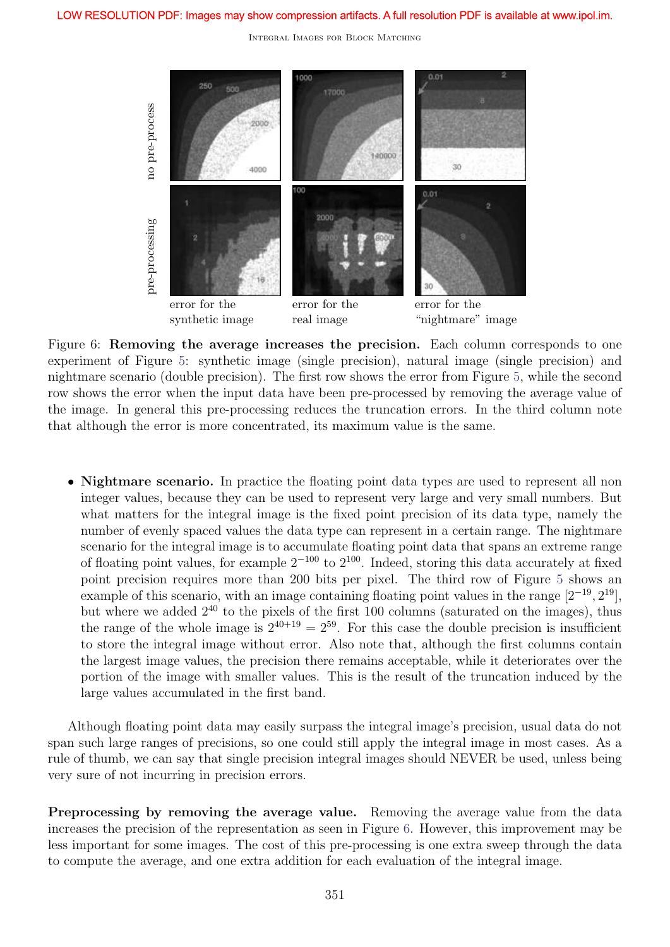

Figure 6: Removing the average increases the precision. Each column corresponds to one experiment of Figure 5: synthetic image (single precision), natural image (single precision) and nightmare scenario (double precision). The first row shows the error from Figure 5, while the second row shows the error when the input data have been pre-processed by removing the average value of the image. In general this pre-processing reduces the truncation errors. In the third column note that although the error is more concentrated, its maximum value is the same.

• Nightmare scenario. In practice the floating point data types are used to represent all non integer values, because they can be used to represent very large and very small numbers. But what matters for the integral image is the fixed point precision of its data type, namely the number of evenly spaced values the data type can represent in a certain range. The nightmare scenario for the integral image is to accumulate floating point data that spans an extreme range of floating point values, for example  $2^{-100}$  to  $2^{100}$ . Indeed, storing this data accurately at fixed point precision requires more than 200 bits per pixel. The third row of Figure 5 shows an example of this scenario, with an image containing floating point values in the range  $[2^{-19}, 2^{19}]$ , but where we added  $2^{40}$  to the pixels of the first 100 columns (saturated on the images), thus the range of the whole image is  $2^{40+19} = 2^{59}$ . For this case the double precision is insufficient to store the integral image without error. Also note that, although the first columns contain the largest image values, the precision there remains acceptable, while it deteriorates over the portion of the image with smaller values. This is the result of the truncation induced by the large values accumulated in the first band.

Although floating point data may easily surpass the integral image's precision, usual data do not span such large ranges of precisions, so one could still apply the integral image in most cases. As a rule of thumb, we can say that single precision integral images should NEVER be used, unless being very sure of not incurring in precision errors.

Preprocessing by removing the average value. Removing the average value from the data increases the precision of the representation as seen in Figure 6. However, this improvement may be less important for some images. The cost of this pre-processing is one extra sweep through the data to compute the average, and one extra addition for each evaluation of the integral image.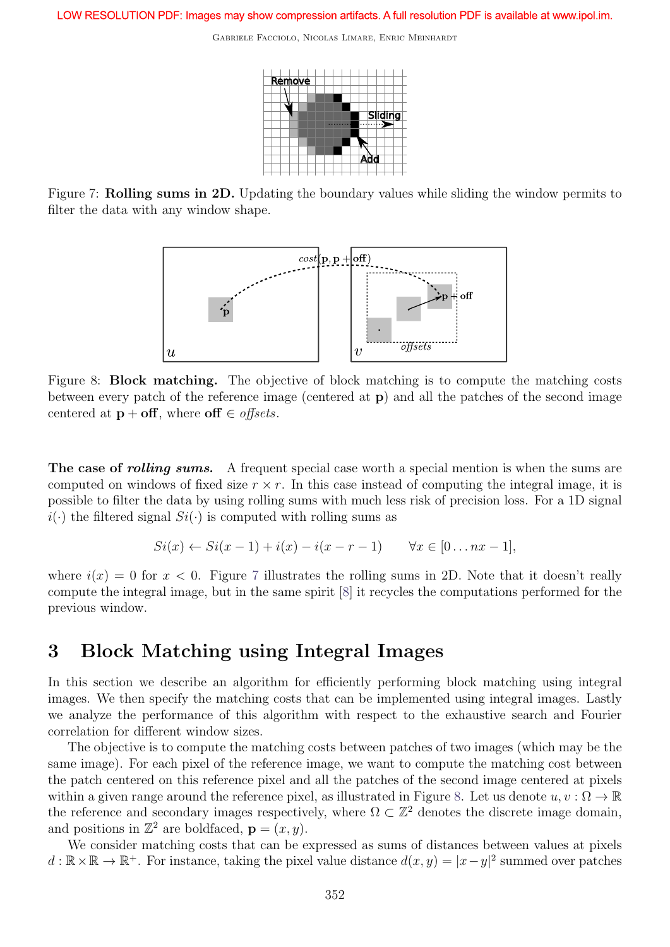

Figure 7: Rolling sums in 2D. Updating the boundary values while sliding the window permits to filter the data with any window shape.



Figure 8: Block matching. The objective of block matching is to compute the matching costs between every patch of the reference image (centered at p) and all the patches of the second image centered at  $\mathbf{p} + \textbf{off}$ , where  $\textbf{off} \in \textit{offsets}$ .

The case of *rolling sums.* A frequent special case worth a special mention is when the sums are computed on windows of fixed size  $r \times r$ . In this case instead of computing the integral image, it is possible to filter the data by using rolling sums with much less risk of precision loss. For a 1D signal  $i(\cdot)$  the filtered signal  $Si(\cdot)$  is computed with rolling sums as

$$
Si(x) \leftarrow Si(x-1) + i(x) - i(x-r-1) \qquad \forall x \in [0...nx-1],
$$

where  $i(x) = 0$  for  $x < 0$ . Figure 7 illustrates the rolling sums in 2D. Note that it doesn't really compute the integral image, but in the same spirit [8] it recycles the computations performed for the previous window.

## 3 Block Matching using Integral Images

In this section we describe an algorithm for efficiently performing block matching using integral images. We then specify the matching costs that can be implemented using integral images. Lastly we analyze the performance of this algorithm with respect to the exhaustive search and Fourier correlation for different window sizes.

The objective is to compute the matching costs between patches of two images (which may be the same image). For each pixel of the reference image, we want to compute the matching cost between the patch centered on this reference pixel and all the patches of the second image centered at pixels within a given range around the reference pixel, as illustrated in Figure 8. Let us denote  $u, v : \Omega \to \mathbb{R}$ the reference and secondary images respectively, where  $\Omega \subset \mathbb{Z}^2$  denotes the discrete image domain, and positions in  $\mathbb{Z}^2$  are boldfaced,  $\mathbf{p} = (x, y)$ .

We consider matching costs that can be expressed as sums of distances between values at pixels  $d: \mathbb{R} \times \mathbb{R} \to \mathbb{R}^+$ . For instance, taking the pixel value distance  $d(x, y) = |x - y|^2$  summed over patches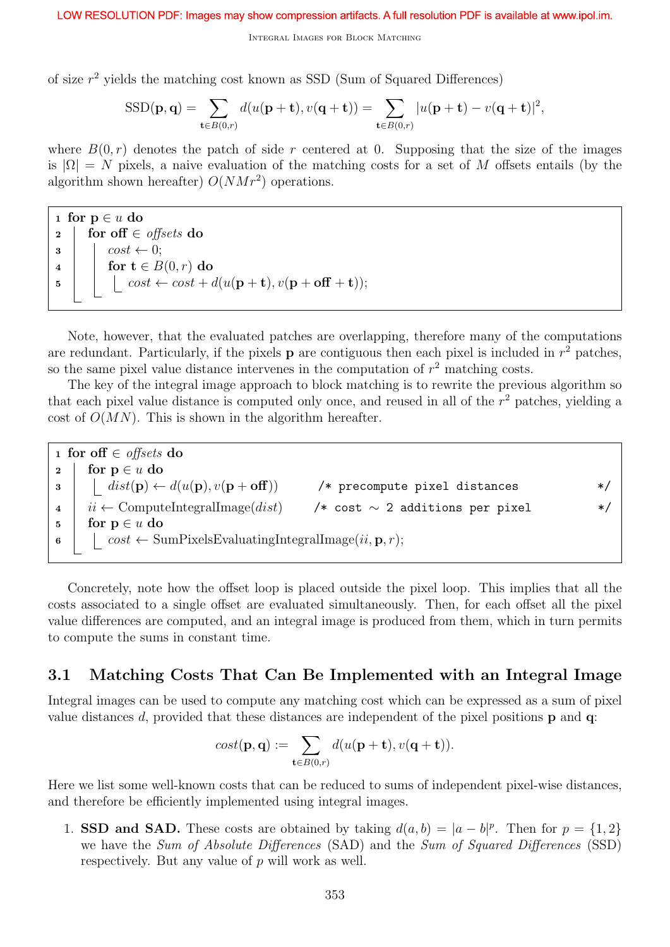of size  $r^2$  yields the matching cost known as SSD (Sum of Squared Differences)

$$
SSD(\mathbf{p}, \mathbf{q}) = \sum_{\mathbf{t} \in B(0,r)} d(u(\mathbf{p} + \mathbf{t}), v(\mathbf{q} + \mathbf{t})) = \sum_{\mathbf{t} \in B(0,r)} |u(\mathbf{p} + \mathbf{t}) - v(\mathbf{q} + \mathbf{t})|^2,
$$

where  $B(0,r)$  denotes the patch of side r centered at 0. Supposing that the size of the images is  $|\Omega| = N$  pixels, a naive evaluation of the matching costs for a set of M offsets entails (by the algorithm shown hereafter)  $O(NMr^2)$  operations.

1 for  $p \in u$  do 2 for off  $\in$  offsets do  $\mathbf{3}$  |  $cost \leftarrow 0$ ; 4 for  $t \in B(0,r)$  do 5 cost ← cost + d(u(**p** + **t**),  $v$ (**p** + **off** + **t**));

Note, however, that the evaluated patches are overlapping, therefore many of the computations are redundant. Particularly, if the pixels  $\bf{p}$  are contiguous then each pixel is included in  $r^2$  patches, so the same pixel value distance intervenes in the computation of  $r^2$  matching costs.

The key of the integral image approach to block matching is to rewrite the previous algorithm so that each pixel value distance is computed only once, and reused in all of the  $r<sup>2</sup>$  patches, yielding a cost of  $O(MN)$ . This is shown in the algorithm hereafter.

1 for off  $\in$  offsets do 2 for  $p \in u$  do 3 dist(p) ←  $d(u(\mathbf{p}), v(\mathbf{p} + \mathbf{off}))$  /\* precompute pixel distances \*/ 4 |  $ii \leftarrow$  ComputeIntegralImage(*dist*) /\* cost ~ 2 additions per pixel \*/ 5 for  $p \in u$  do 6 cost  $\leftarrow$  SumPixelsEvaluatingIntegralImage $(ii, \mathbf{p}, r);$ 

Concretely, note how the offset loop is placed outside the pixel loop. This implies that all the costs associated to a single offset are evaluated simultaneously. Then, for each offset all the pixel value differences are computed, and an integral image is produced from them, which in turn permits to compute the sums in constant time.

### 3.1 Matching Costs That Can Be Implemented with an Integral Image

Integral images can be used to compute any matching cost which can be expressed as a sum of pixel value distances d, provided that these distances are independent of the pixel positions  $\bf{p}$  and  $\bf{q}$ :

$$
cost(\mathbf{p}, \mathbf{q}) := \sum_{\mathbf{t} \in B(0,r)} d(u(\mathbf{p} + \mathbf{t}), v(\mathbf{q} + \mathbf{t})).
$$

Here we list some well-known costs that can be reduced to sums of independent pixel-wise distances, and therefore be efficiently implemented using integral images.

1. **SSD and SAD.** These costs are obtained by taking  $d(a, b) = |a - b|^p$ . Then for  $p = \{1, 2\}$ we have the Sum of Absolute Differences (SAD) and the Sum of Squared Differences (SSD) respectively. But any value of p will work as well.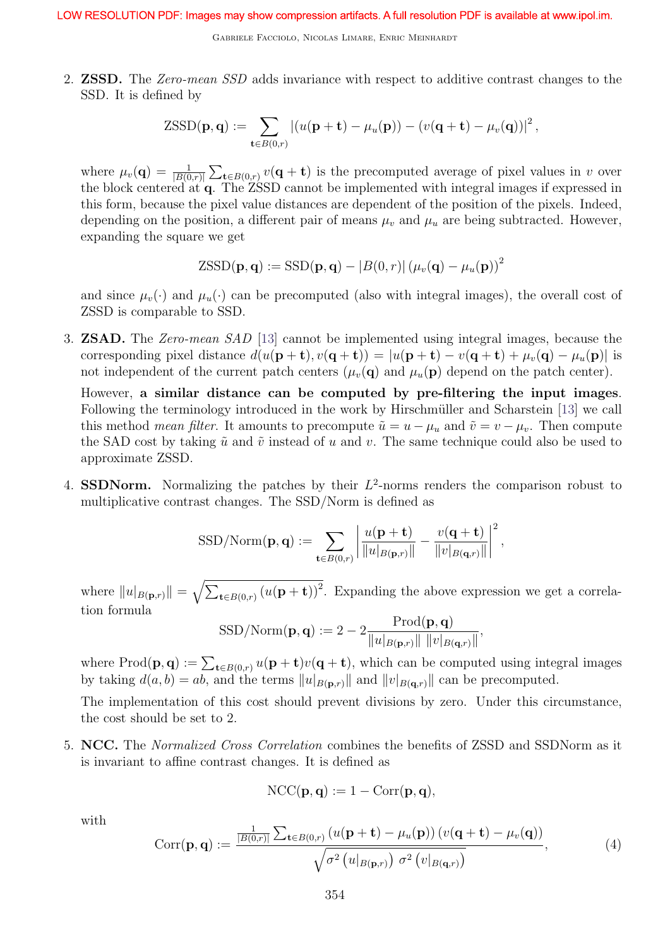Gabriele Facciolo, Nicolas Limare, Enric Meinhardt

2. ZSSD. The Zero-mean SSD adds invariance with respect to additive contrast changes to the SSD. It is defined by

$$
\mathrm{ZSSD}(\mathbf{p},\mathbf{q}) := \sum_{\mathbf{t}\in B(0,r)} \left| (u(\mathbf{p}+\mathbf{t}) - \mu_u(\mathbf{p})) - (v(\mathbf{q}+\mathbf{t}) - \mu_v(\mathbf{q})) \right|^2,
$$

where  $\mu_v(\mathbf{q}) = \frac{1}{|B(0,r)|} \sum_{\mathbf{t} \in B(0,r)} v(\mathbf{q} + \mathbf{t})$  is the precomputed average of pixel values in v over the block centered at q. The ZSSD cannot be implemented with integral images if expressed in this form, because the pixel value distances are dependent of the position of the pixels. Indeed, depending on the position, a different pair of means  $\mu_v$  and  $\mu_u$  are being subtracted. However, expanding the square we get

$$
\text{ZSSD}(\mathbf{p}, \mathbf{q}) := \text{SSD}(\mathbf{p}, \mathbf{q}) - |B(0, r)| (\mu_v(\mathbf{q}) - \mu_u(\mathbf{p}))^2
$$

and since  $\mu_v(\cdot)$  and  $\mu_u(\cdot)$  can be precomputed (also with integral images), the overall cost of ZSSD is comparable to SSD.

3. ZSAD. The Zero-mean SAD [13] cannot be implemented using integral images, because the corresponding pixel distance  $d(u(\mathbf{p}+\mathbf{t}), v(\mathbf{q}+\mathbf{t})) = |u(\mathbf{p}+\mathbf{t}) - v(\mathbf{q}+\mathbf{t}) + \mu_v(\mathbf{q}) - \mu_u(\mathbf{p})|$  is not independent of the current patch centers  $(\mu_v(\mathbf{q})$  and  $\mu_u(\mathbf{p})$  depend on the patch center).

However, a similar distance can be computed by pre-filtering the input images. Following the terminology introduced in the work by Hirschmüller and Scharstein [13] we call this method *mean filter*. It amounts to precompute  $\tilde{u} = u - \mu_u$  and  $\tilde{v} = v - \mu_v$ . Then compute the SAD cost by taking  $\tilde{u}$  and  $\tilde{v}$  instead of u and v. The same technique could also be used to approximate ZSSD.

4. SSDNorm. Normalizing the patches by their  $L^2$ -norms renders the comparison robust to multiplicative contrast changes. The SSD/Norm is defined as

$$
\mathrm{SSD/Norm}(\mathbf{p},\mathbf{q}) := \sum_{\mathbf{t}\in B(0,r)} \left| \frac{u(\mathbf{p}+\mathbf{t})}{\|u|_{B(\mathbf{p},r)}\|} - \frac{v(\mathbf{q}+\mathbf{t})}{\|v|_{B(\mathbf{q},r)}\|} \right|^2,
$$

where  $||u|_{B(\mathbf{p},r)}|| = \sqrt{\sum_{\mathbf{t} \in B(0,r)} (u(\mathbf{p} + \mathbf{t}))^2}$ . Expanding the above expression we get a correlation formula

$$
SSD/Norm(\mathbf{p}, \mathbf{q}) := 2 - 2 \frac{Prod(\mathbf{p}, \mathbf{q})}{\|u|_{B(\mathbf{p}, r)}\| \|v|_{B(\mathbf{q}, r)}\|},
$$

where  $\text{Prod}(\mathbf{p},\mathbf{q}) := \sum_{\mathbf{t} \in B(0,r)} u(\mathbf{p}+\mathbf{t})v(\mathbf{q}+\mathbf{t}),$  which can be computed using integral images by taking  $d(a, b) = ab$ , and the terms  $||u|_{B(\mathbf{p},r)}||$  and  $||v|_{B(\mathbf{q},r)}||$  can be precomputed.

The implementation of this cost should prevent divisions by zero. Under this circumstance, the cost should be set to 2.

5. NCC. The Normalized Cross Correlation combines the benefits of ZSSD and SSDNorm as it is invariant to affine contrast changes. It is defined as

$$
\mathrm{NCC}(\mathbf{p},\mathbf{q}) := 1 - \mathrm{Corr}(\mathbf{p},\mathbf{q}),
$$

with

$$
Corr(\mathbf{p}, \mathbf{q}) := \frac{\frac{1}{|B(0,r)|} \sum_{\mathbf{t} \in B(0,r)} (u(\mathbf{p} + \mathbf{t}) - \mu_u(\mathbf{p})) (v(\mathbf{q} + \mathbf{t}) - \mu_v(\mathbf{q}))}{\sqrt{\sigma^2 (u|_{B(\mathbf{p},r)}) \sigma^2 (v|_{B(\mathbf{q},r}))}},
$$
(4)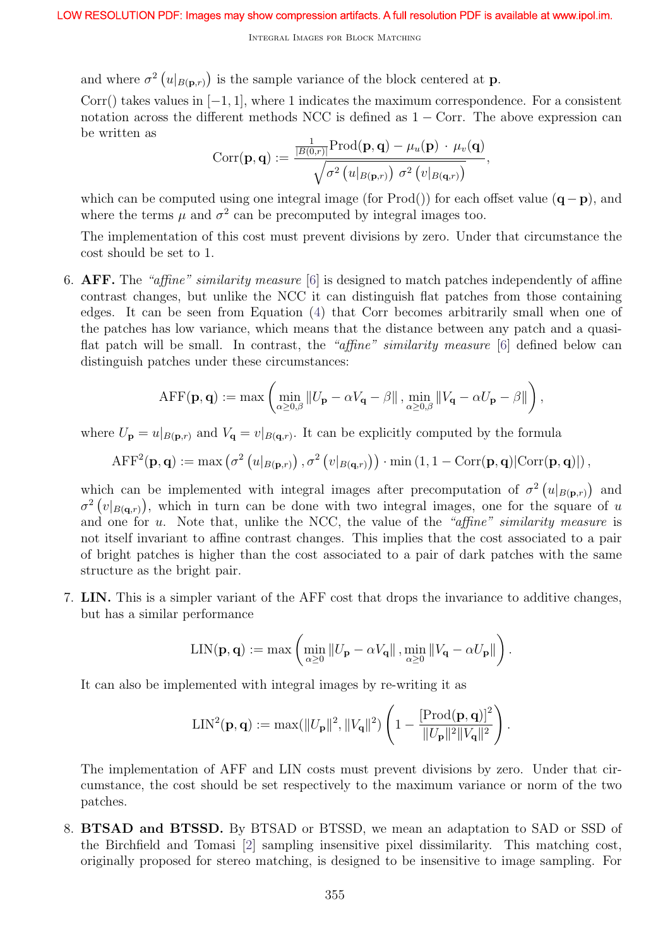and where  $\sigma^2(u|_{B(\mathbf{p},r)})$  is the sample variance of the block centered at **p**.

Corr() takes values in  $[-1, 1]$ , where 1 indicates the maximum correspondence. For a consistent notation across the different methods NCC is defined as  $1 - \text{Corr}$ . The above expression can be written as

$$
Corr(\mathbf{p}, \mathbf{q}) := \frac{\frac{1}{|B(0,r)|} \text{Prod}(\mathbf{p}, \mathbf{q}) - \mu_u(\mathbf{p}) \cdot \mu_v(\mathbf{q})}{\sqrt{\sigma^2 (u|_{B(\mathbf{p},r)}) \sigma^2 (v|_{B(\mathbf{q},r)})}},
$$

which can be computed using one integral image (for Prod()) for each offset value  $(q - p)$ , and where the terms  $\mu$  and  $\sigma^2$  can be precomputed by integral images too.

The implementation of this cost must prevent divisions by zero. Under that circumstance the cost should be set to 1.

6. AFF. The "affine" similarity measure [6] is designed to match patches independently of affine contrast changes, but unlike the NCC it can distinguish flat patches from those containing edges. It can be seen from Equation (4) that Corr becomes arbitrarily small when one of the patches has low variance, which means that the distance between any patch and a quasiflat patch will be small. In contrast, the "affine" similarity measure [6] defined below can distinguish patches under these circumstances:

$$
\mathrm{AFF}(\mathbf{p}, \mathbf{q}) := \max \left( \min_{\alpha \ge 0, \beta} \left\| U_{\mathbf{p}} - \alpha V_{\mathbf{q}} - \beta \right\|, \min_{\alpha \ge 0, \beta} \left\| V_{\mathbf{q}} - \alpha U_{\mathbf{p}} - \beta \right\| \right),
$$

where  $U_{\mathbf{p}} = u|_{B(\mathbf{p},r)}$  and  $V_{\mathbf{q}} = v|_{B(\mathbf{q},r)}$ . It can be explicitly computed by the formula

$$
\text{AFF}^2(\mathbf{p}, \mathbf{q}) := \max \left( \sigma^2 \left( u|_{B(\mathbf{p},r)} \right), \sigma^2 \left( v|_{B(\mathbf{q},r)} \right) \right) \cdot \min \left( 1, 1 - \text{Corr}(\mathbf{p}, \mathbf{q}) | \text{Corr}(\mathbf{p}, \mathbf{q}) | \right),
$$

which can be implemented with integral images after precomputation of  $\sigma^2(u|_{B(\mathbf{p},r)})$  and  $\sigma^2(v|_{B(q,r)})$ , which in turn can be done with two integral images, one for the square of u and one for  $u$ . Note that, unlike the NCC, the value of the "affine" similarity measure is not itself invariant to affine contrast changes. This implies that the cost associated to a pair of bright patches is higher than the cost associated to a pair of dark patches with the same structure as the bright pair.

7. LIN. This is a simpler variant of the AFF cost that drops the invariance to additive changes, but has a similar performance

$$
\text{LIN}(\mathbf{p},\mathbf{q}) := \max \left( \min_{\alpha \geq 0} \left\| U_{\mathbf{p}} - \alpha V_{\mathbf{q}} \right\|, \min_{\alpha \geq 0} \left\| V_{\mathbf{q}} - \alpha U_{\mathbf{p}} \right\| \right).
$$

It can also be implemented with integral images by re-writing it as

$$
\text{LIN}^2(\mathbf{p}, \mathbf{q}) := \max(||U_{\mathbf{p}}||^2, ||V_{\mathbf{q}}||^2) \left(1 - \frac{[\text{Prod}(\mathbf{p}, \mathbf{q})]^2}{||U_{\mathbf{p}}||^2 ||V_{\mathbf{q}}||^2}\right).
$$

The implementation of AFF and LIN costs must prevent divisions by zero. Under that circumstance, the cost should be set respectively to the maximum variance or norm of the two patches.

8. BTSAD and BTSSD. By BTSAD or BTSSD, we mean an adaptation to SAD or SSD of the Birchfield and Tomasi [2] sampling insensitive pixel dissimilarity. This matching cost, originally proposed for stereo matching, is designed to be insensitive to image sampling. For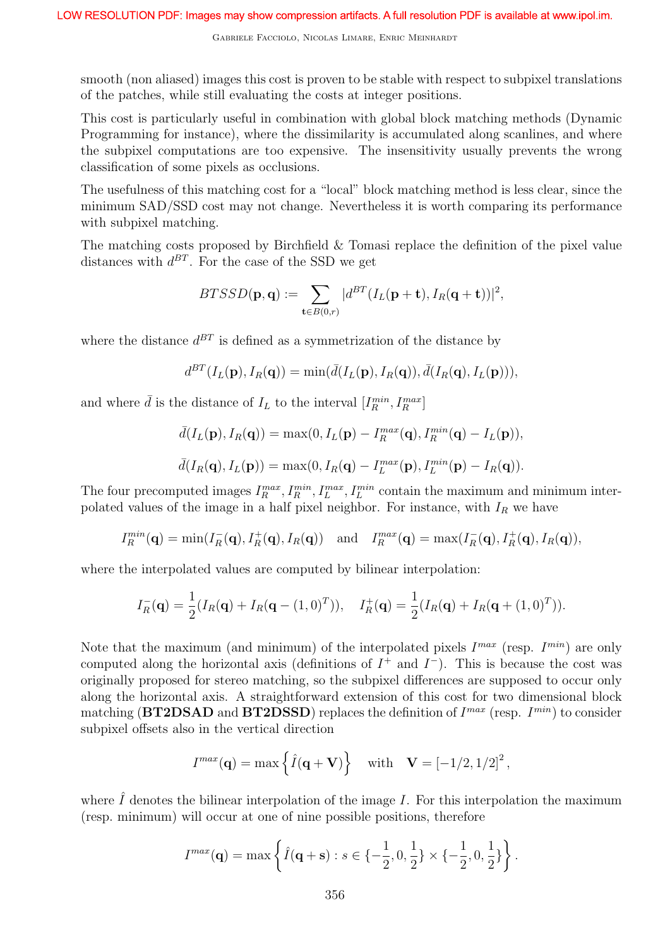smooth (non aliased) images this cost is proven to be stable with respect to subpixel translations of the patches, while still evaluating the costs at integer positions.

This cost is particularly useful in combination with global block matching methods (Dynamic Programming for instance), where the dissimilarity is accumulated along scanlines, and where the subpixel computations are too expensive. The insensitivity usually prevents the wrong classification of some pixels as occlusions.

The usefulness of this matching cost for a "local" block matching method is less clear, since the minimum SAD/SSD cost may not change. Nevertheless it is worth comparing its performance with subpixel matching.

The matching costs proposed by Birchfield & Tomasi replace the definition of the pixel value distances with  $d^{BT}$ . For the case of the SSD we get

$$
BTSSD(\mathbf{p},\mathbf{q}):=\sum_{\mathbf{t}\in B(0,r)}|d^{BT}(I_{L}(\mathbf{p}+\mathbf{t}),I_{R}(\mathbf{q}+\mathbf{t}))|^{2},
$$

where the distance  $d^{BT}$  is defined as a symmetrization of the distance by

$$
d^{BT}(I_L(\mathbf{p}), I_R(\mathbf{q})) = \min(\bar{d}(I_L(\mathbf{p}), I_R(\mathbf{q})), \bar{d}(I_R(\mathbf{q}), I_L(\mathbf{p}))),
$$

and where  $\bar{d}$  is the distance of  $I_L$  to the interval  $[I_R^{min}, I_R^{max}]$ 

$$
\bar{d}(I_L(\mathbf{p}), I_R(\mathbf{q})) = \max(0, I_L(\mathbf{p}) - I_R^{max}(\mathbf{q}), I_R^{min}(\mathbf{q}) - I_L(\mathbf{p})),
$$
  

$$
\bar{d}(I_R(\mathbf{q}), I_L(\mathbf{p})) = \max(0, I_R(\mathbf{q}) - I_L^{max}(\mathbf{p}), I_L^{min}(\mathbf{p}) - I_R(\mathbf{q})).
$$

The four precomputed images  $I_R^{max}$ ,  $I_R^{min}$ ,  $I_L^{max}$ ,  $I_L^{min}$  contain the maximum and minimum interpolated values of the image in a half pixel neighbor. For instance, with  $I_R$  we have

$$
I_R^{min}(\mathbf{q}) = \min(I_R^-(\mathbf{q}), I_R^+(\mathbf{q}), I_R(\mathbf{q})) \text{ and } I_R^{max}(\mathbf{q}) = \max(I_R^-(\mathbf{q}), I_R^+(\mathbf{q}), I_R(\mathbf{q})),
$$

where the interpolated values are computed by bilinear interpolation:

$$
I_R^-(\mathbf{q}) = \frac{1}{2}(I_R(\mathbf{q}) + I_R(\mathbf{q} - (1,0)^T)), \quad I_R^+(\mathbf{q}) = \frac{1}{2}(I_R(\mathbf{q}) + I_R(\mathbf{q} + (1,0)^T)).
$$

Note that the maximum (and minimum) of the interpolated pixels  $I^{max}$  (resp.  $I^{min}$ ) are only computed along the horizontal axis (definitions of  $I^+$  and  $I^-$ ). This is because the cost was originally proposed for stereo matching, so the subpixel differences are supposed to occur only along the horizontal axis. A straightforward extension of this cost for two dimensional block matching (BT2DSAD and BT2DSSD) replaces the definition of  $I^{max}$  (resp.  $I^{min}$ ) to consider subpixel offsets also in the vertical direction

$$
I^{max}(\mathbf{q}) = \max \left\{ \hat{I}(\mathbf{q} + \mathbf{V}) \right\} \quad \text{with} \quad \mathbf{V} = \left[ -1/2, 1/2 \right]^2,
$$

where  $\hat{I}$  denotes the bilinear interpolation of the image I. For this interpolation the maximum (resp. minimum) will occur at one of nine possible positions, therefore

$$
I^{max}(\mathbf{q}) = \max \left\{ \hat{I}(\mathbf{q} + \mathbf{s}) : s \in \{-\frac{1}{2}, 0, \frac{1}{2}\} \times \{-\frac{1}{2}, 0, \frac{1}{2}\} \right\}.
$$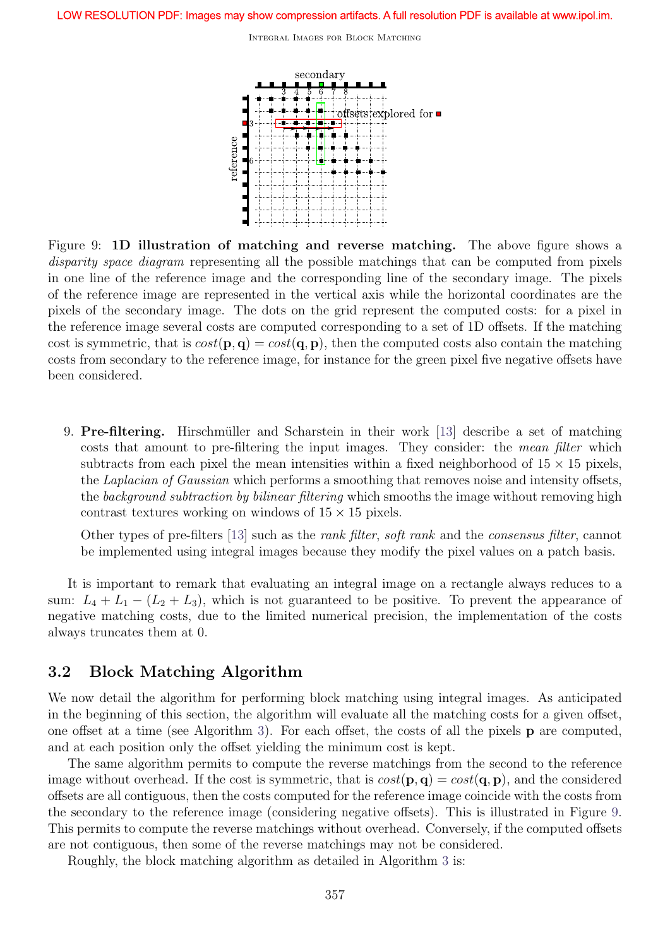

Figure 9: 1D illustration of matching and reverse matching. The above figure shows a disparity space diagram representing all the possible matchings that can be computed from pixels in one line of the reference image and the corresponding line of the secondary image. The pixels of the reference image are represented in the vertical axis while the horizontal coordinates are the pixels of the secondary image. The dots on the grid represent the computed costs: for a pixel in the reference image several costs are computed corresponding to a set of 1D offsets. If the matching cost is symmetric, that is  $cost(\mathbf{p}, \mathbf{q}) = cost(\mathbf{q}, \mathbf{p})$ , then the computed costs also contain the matching costs from secondary to the reference image, for instance for the green pixel five negative offsets have been considered.

9. **Pre-filtering.** Hirschmüller and Scharstein in their work  $\begin{bmatrix} 13 \end{bmatrix}$  describe a set of matching costs that amount to pre-filtering the input images. They consider: the mean filter which subtracts from each pixel the mean intensities within a fixed neighborhood of  $15 \times 15$  pixels, the Laplacian of Gaussian which performs a smoothing that removes noise and intensity offsets, the background subtraction by bilinear filtering which smooths the image without removing high contrast textures working on windows of  $15 \times 15$  pixels.

Other types of pre-filters [13] such as the rank filter, soft rank and the consensus filter, cannot be implemented using integral images because they modify the pixel values on a patch basis.

It is important to remark that evaluating an integral image on a rectangle always reduces to a sum:  $L_4 + L_1 - (L_2 + L_3)$ , which is not guaranteed to be positive. To prevent the appearance of negative matching costs, due to the limited numerical precision, the implementation of the costs always truncates them at 0.

### 3.2 Block Matching Algorithm

We now detail the algorithm for performing block matching using integral images. As anticipated in the beginning of this section, the algorithm will evaluate all the matching costs for a given offset, one offset at a time (see Algorithm 3). For each offset, the costs of all the pixels p are computed, and at each position only the offset yielding the minimum cost is kept.

The same algorithm permits to compute the reverse matchings from the second to the reference image without overhead. If the cost is symmetric, that is  $cost(\mathbf{p}, \mathbf{q}) = cost(\mathbf{q}, \mathbf{p})$ , and the considered offsets are all contiguous, then the costs computed for the reference image coincide with the costs from the secondary to the reference image (considering negative offsets). This is illustrated in Figure 9. This permits to compute the reverse matchings without overhead. Conversely, if the computed offsets are not contiguous, then some of the reverse matchings may not be considered.

Roughly, the block matching algorithm as detailed in Algorithm 3 is: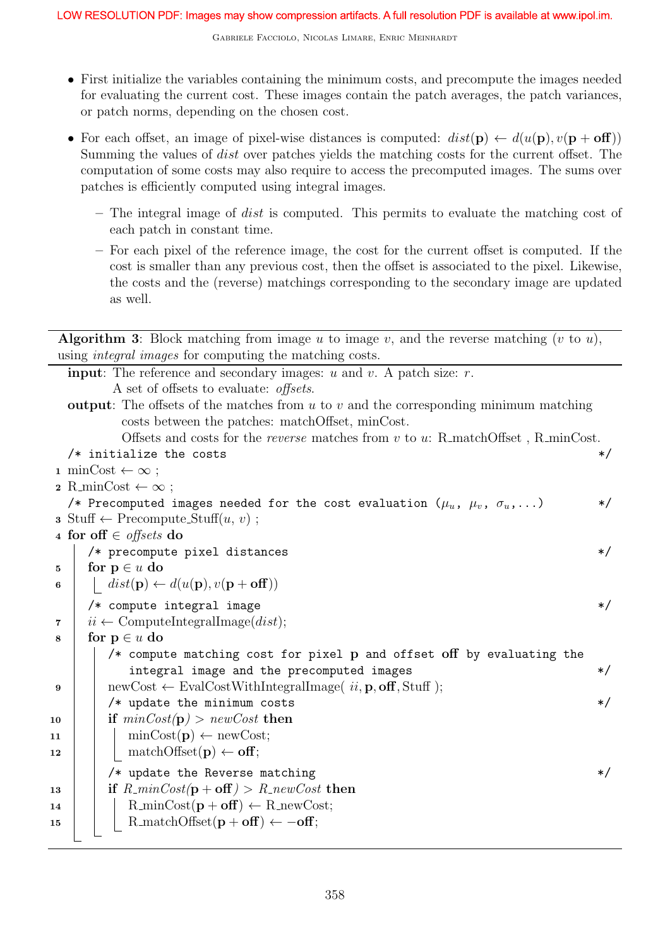- First initialize the variables containing the minimum costs, and precompute the images needed for evaluating the current cost. These images contain the patch averages, the patch variances, or patch norms, depending on the chosen cost.
- For each offset, an image of pixel-wise distances is computed:  $dist(\mathbf{p}) \leftarrow d(u(\mathbf{p}), v(\mathbf{p} + \mathbf{off}))$ Summing the values of dist over patches yields the matching costs for the current offset. The computation of some costs may also require to access the precomputed images. The sums over patches is efficiently computed using integral images.
	- The integral image of dist is computed. This permits to evaluate the matching cost of each patch in constant time.
	- For each pixel of the reference image, the cost for the current offset is computed. If the cost is smaller than any previous cost, then the offset is associated to the pixel. Likewise, the costs and the (reverse) matchings corresponding to the secondary image are updated as well.

|                  | <b>Algorithm 3:</b> Block matching from image u to image v, and the reverse matching (v to u),   |         |
|------------------|--------------------------------------------------------------------------------------------------|---------|
|                  | using <i>integral images</i> for computing the matching costs.                                   |         |
|                  | <b>input:</b> The reference and secondary images: $u$ and $v$ . A patch size: $r$ .              |         |
|                  | A set of offsets to evaluate: <i>offsets</i> .                                                   |         |
|                  | <b>output:</b> The offsets of the matches from $u$ to $v$ and the corresponding minimum matching |         |
|                  | costs between the patches: matchOffset, minCost.                                                 |         |
|                  | Offsets and costs for the <i>reverse</i> matches from $v$ to $u$ : R_matchOffset, R_minCost.     |         |
|                  | /* initialize the costs                                                                          | $\ast/$ |
|                  | 1 minCost $\leftarrow \infty$ ;                                                                  |         |
|                  | $\mathbf{2} \cdot \text{R-minCost} \leftarrow \infty$ ;                                          |         |
|                  | /* Precomputed images needed for the cost evaluation $(\mu_u, \mu_v, \sigma_u, \ldots)$          | $\ast/$ |
|                  | $\mathbf{s}$ Stuff $\leftarrow$ Precompute_Stuff $(u, v)$ ;                                      |         |
|                  | 4 for off $\in$ offsets do                                                                       |         |
|                  | /* precompute pixel distances                                                                    | $*/$    |
| 5                | for $p \in u$ do                                                                                 |         |
| 6                | $dist(\mathbf{p}) \leftarrow d(u(\mathbf{p}), v(\mathbf{p} + \mathbf{off}))$                     |         |
|                  | /* compute integral image                                                                        | $\ast/$ |
| 7                | $ii \leftarrow$ ComputeIntegralImage( <i>dist</i> );                                             |         |
| 8                | for $p \in u$ do                                                                                 |         |
|                  | /* compute matching cost for pixel p and offset off by evaluating the                            |         |
|                  | integral image and the precomputed images                                                        | $\ast/$ |
| $\boldsymbol{9}$ | $newCost \leftarrow EvaluateWithIntegralImage(ii, p, off, Stuff);$                               |         |
|                  | /* update the minimum costs                                                                      | $\ast/$ |
| 10               | if $minCost(p) > newCost$ then                                                                   |         |
| 11               | $\text{minCost}(\mathbf{p}) \leftarrow \text{newCost};$                                          |         |
| 12               | $matchOffset(\mathbf{p}) \leftarrow \textbf{off};$                                               |         |
|                  | /* update the Reverse matching                                                                   | $\ast/$ |
| 13               | if $R_{\text{}}minCost(\mathbf{p} + \mathbf{off}) > R_{\text{}}newCost$ then                     |         |
| 14               | $R_{\text{min}}Cost(\mathbf{p} + \mathbf{off}) \leftarrow R_{\text{new}}Cost;$                   |         |
| 15               | R_matchOffset( $\mathbf{p} + \mathbf{off}$ ) $\leftarrow -\mathbf{off}$ ;                        |         |
|                  |                                                                                                  |         |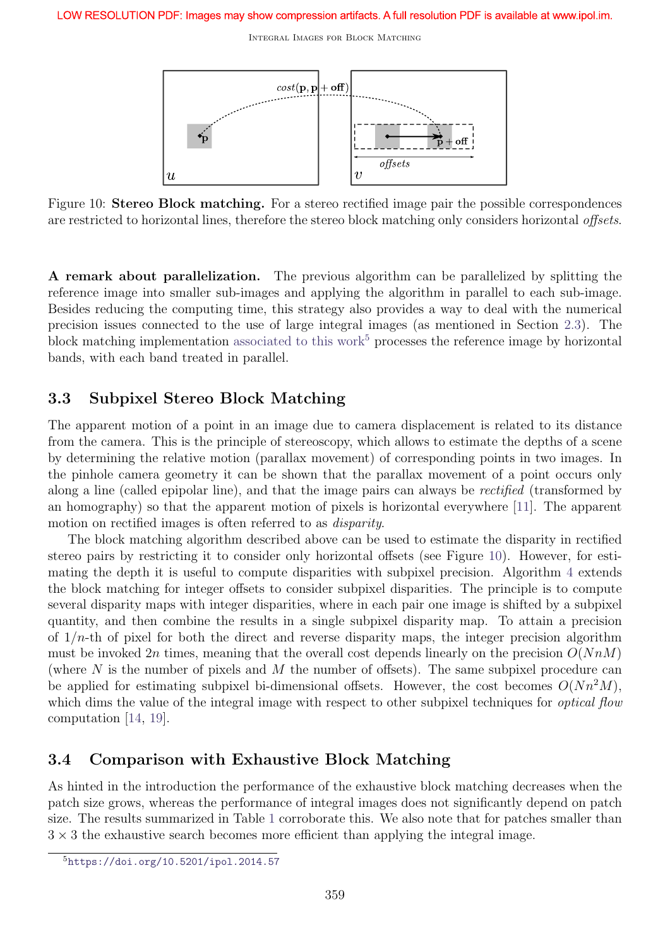

Figure 10: **Stereo Block matching.** For a stereo rectified image pair the possible correspondences are restricted to horizontal lines, therefore the stereo block matching only considers horizontal offsets.

A remark about parallelization. The previous algorithm can be parallelized by splitting the reference image into smaller sub-images and applying the algorithm in parallel to each sub-image. Besides reducing the computing time, this strategy also provides a way to deal with the numerical precision issues connected to the use of large integral images (as mentioned in Section 2.3). The block matching implementation associated to this work<sup>5</sup> processes the reference image by horizontal bands, with each band treated in parallel.

### 3.3 Subpixel Stereo Block Matching

The apparent motion of a point in an image due to camera displacement is related to its distance from the camera. This is the principle of stereoscopy, which allows to estimate the depths of a scene by determining the relative motion (parallax movement) of corresponding points in two images. In the pinhole camera geometry it can be shown that the parallax movement of a point occurs only along a line (called epipolar line), and that the image pairs can always be rectified (transformed by an homography) so that the apparent motion of pixels is horizontal everywhere [11]. The apparent motion on rectified images is often referred to as disparity.

The block matching algorithm described above can be used to estimate the disparity in rectified stereo pairs by restricting it to consider only horizontal offsets (see Figure 10). However, for estimating the depth it is useful to compute disparities with subpixel precision. Algorithm 4 extends the block matching for integer offsets to consider subpixel disparities. The principle is to compute several disparity maps with integer disparities, where in each pair one image is shifted by a subpixel quantity, and then combine the results in a single subpixel disparity map. To attain a precision of  $1/n$ -th of pixel for both the direct and reverse disparity maps, the integer precision algorithm must be invoked  $2n$  times, meaning that the overall cost depends linearly on the precision  $O(NnM)$ (where  $N$  is the number of pixels and  $M$  the number of offsets). The same subpixel procedure can be applied for estimating subpixel bi-dimensional offsets. However, the cost becomes  $O(Nn^2M)$ , which dims the value of the integral image with respect to other subpixel techniques for *optical flow* computation [14, 19].

### 3.4 Comparison with Exhaustive Block Matching

As hinted in the introduction the performance of the exhaustive block matching decreases when the patch size grows, whereas the performance of integral images does not significantly depend on patch size. The results summarized in Table 1 corroborate this. We also note that for patches smaller than  $3 \times 3$  the exhaustive search becomes more efficient than applying the integral image.

<sup>5</sup>https://doi.org/10.5201/ipol.2014.57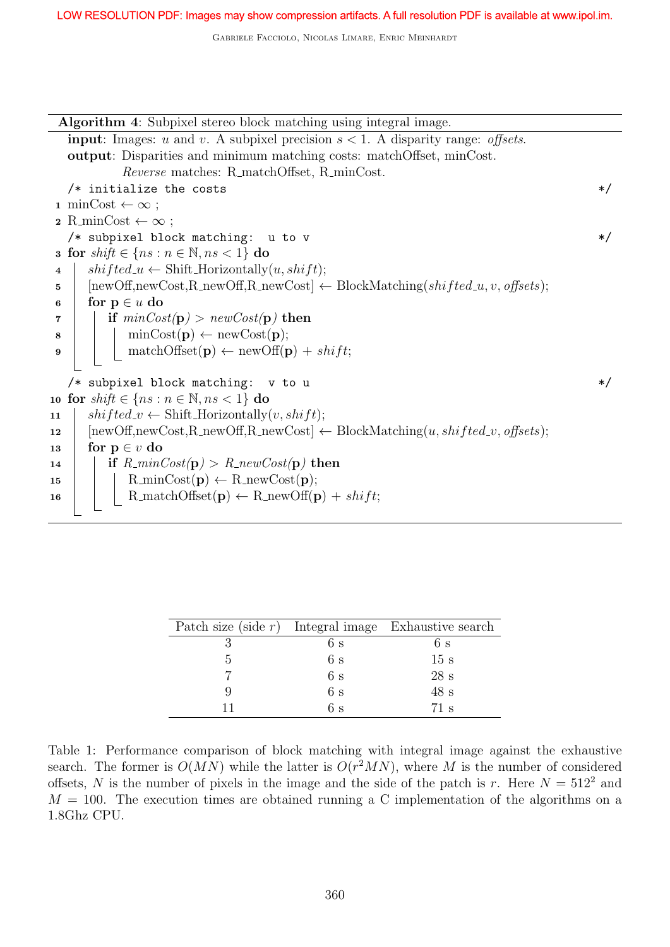Algorithm 4: Subpixel stereo block matching using integral image. **input:** Images: u and v. A subpixel precision  $s < 1$ . A disparity range: *offsets*. output: Disparities and minimum matching costs: matchOffset, minCost. Reverse matches: R\_matchOffset, R\_minCost.  $/*$  initialize the costs  $*/$ 1 minCost  $\leftarrow \infty$ :  $2$  R\_minCost  $\leftarrow \infty$ ;  $/*$  subpixel block matching: u to v  $*/$ 3 for  $shift \in \{ns : n \in \mathbb{N}, ns < 1\}$  do 4  $\vert$  shifted  $u \leftarrow$  Shift Horizontally $(u, shift)$ ; 5  $\left[$  [newOff,newCost,R\_newOff,R\_newCost]  $\leftarrow$  BlockMatching(shifted\_u, v, offsets); 6 for  $p \in u$  do 7 if  $minCost(p) > newCost(p)$  then  $\bf{s}$  | | minCost( $\bf{p}$ )  $\leftarrow$  newCost( $\bf{p}$ ); 9 | | matchOffset(p)  $\leftarrow$  newOff(p) + shift;  $/*$  subpixel block matching: v to u  $*/$ 10 for  $shift \in \{ns : n \in \mathbb{N}, ns < 1\}$  do 11  $\vert$  shifted  $v \leftarrow$  Shift Horizontally $(v, shift)$ ; 12  $\left[$  [newOff,newCost,R\_newOff,R\_newCost]  $\leftarrow$  BlockMatching $(u, shifted_v, offsets);$ 13 for  $p \in v$  do 14 if  $R_{\text{min}}Cost(\mathbf{p}) > R_{\text{new}}Cost(\mathbf{p})$  then 15 R\_minCost(p) ← R\_newCost(p); 16 | R\_matchOffset(p)  $\leftarrow$  R\_newOff(p) + shift;

| Patch size (side $r$ ) Integral image Exhaustive search |    |                 |
|---------------------------------------------------------|----|-----------------|
|                                                         | 6s | 6s              |
|                                                         | 6s | 15 s            |
|                                                         | 6s | 28s             |
|                                                         | 6s | 48s             |
|                                                         | 6s | $71 \mathrm{s}$ |

Table 1: Performance comparison of block matching with integral image against the exhaustive search. The former is  $O(MN)$  while the latter is  $O(r^2MN)$ , where M is the number of considered offsets, N is the number of pixels in the image and the side of the patch is r. Here  $N = 512^2$  and  $M = 100$ . The execution times are obtained running a C implementation of the algorithms on a 1.8Ghz CPU.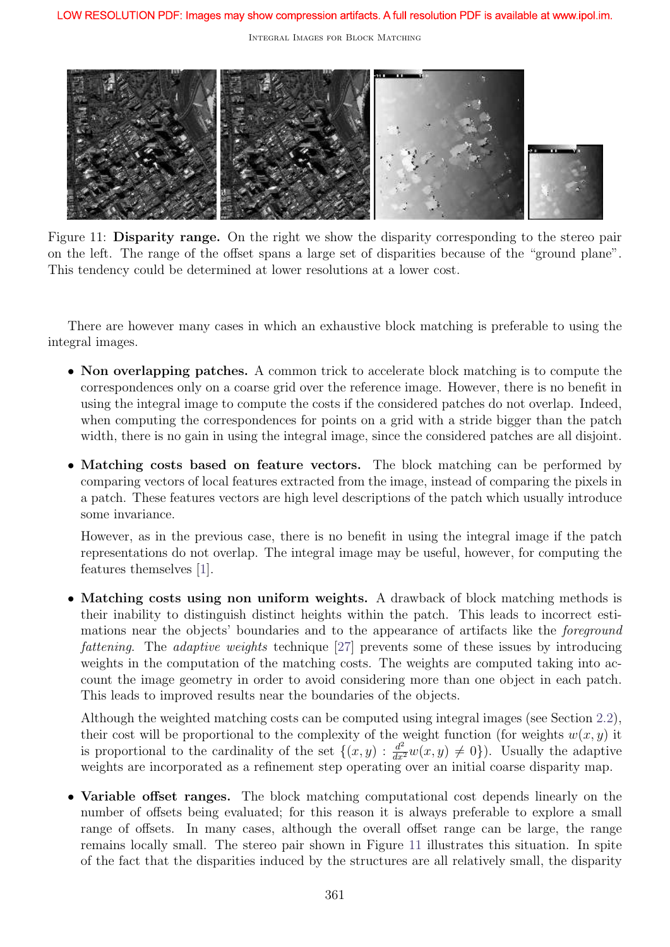

Figure 11: **Disparity range.** On the right we show the disparity corresponding to the stereo pair on the left. The range of the offset spans a large set of disparities because of the "ground plane". This tendency could be determined at lower resolutions at a lower cost.

There are however many cases in which an exhaustive block matching is preferable to using the integral images.

- Non overlapping patches. A common trick to accelerate block matching is to compute the correspondences only on a coarse grid over the reference image. However, there is no benefit in using the integral image to compute the costs if the considered patches do not overlap. Indeed, when computing the correspondences for points on a grid with a stride bigger than the patch width, there is no gain in using the integral image, since the considered patches are all disjoint.
- Matching costs based on feature vectors. The block matching can be performed by comparing vectors of local features extracted from the image, instead of comparing the pixels in a patch. These features vectors are high level descriptions of the patch which usually introduce some invariance.

However, as in the previous case, there is no benefit in using the integral image if the patch representations do not overlap. The integral image may be useful, however, for computing the features themselves [1].

• Matching costs using non uniform weights. A drawback of block matching methods is their inability to distinguish distinct heights within the patch. This leads to incorrect estimations near the objects' boundaries and to the appearance of artifacts like the foreground fattening. The adaptive weights technique [27] prevents some of these issues by introducing weights in the computation of the matching costs. The weights are computed taking into account the image geometry in order to avoid considering more than one object in each patch. This leads to improved results near the boundaries of the objects.

Although the weighted matching costs can be computed using integral images (see Section 2.2), their cost will be proportional to the complexity of the weight function (for weights  $w(x, y)$ ) it is proportional to the cardinality of the set  $\{(x, y) : \frac{d^2}{dx^2}w(x, y) \neq 0\}$ . Usually the adaptive weights are incorporated as a refinement step operating over an initial coarse disparity map.

• Variable offset ranges. The block matching computational cost depends linearly on the number of offsets being evaluated; for this reason it is always preferable to explore a small range of offsets. In many cases, although the overall offset range can be large, the range remains locally small. The stereo pair shown in Figure 11 illustrates this situation. In spite of the fact that the disparities induced by the structures are all relatively small, the disparity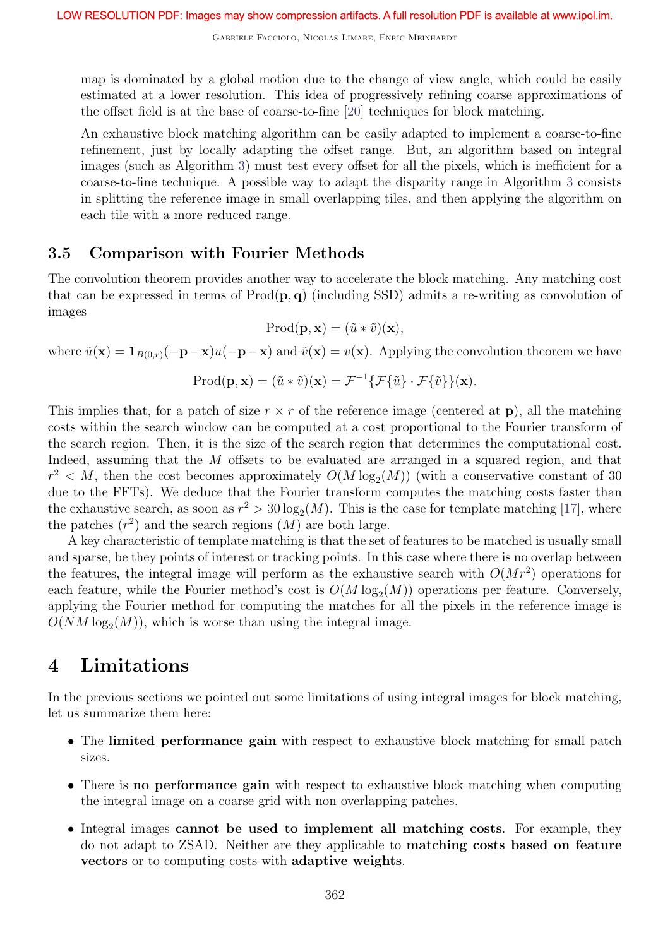map is dominated by a global motion due to the change of view angle, which could be easily estimated at a lower resolution. This idea of progressively refining coarse approximations of the offset field is at the base of coarse-to-fine [20] techniques for block matching.

An exhaustive block matching algorithm can be easily adapted to implement a coarse-to-fine refinement, just by locally adapting the offset range. But, an algorithm based on integral images (such as Algorithm 3) must test every offset for all the pixels, which is inefficient for a coarse-to-fine technique. A possible way to adapt the disparity range in Algorithm 3 consists in splitting the reference image in small overlapping tiles, and then applying the algorithm on each tile with a more reduced range.

### 3.5 Comparison with Fourier Methods

The convolution theorem provides another way to accelerate the block matching. Any matching cost that can be expressed in terms of  $\text{Prod}(\mathbf{p}, \mathbf{q})$  (including SSD) admits a re-writing as convolution of images

$$
\mathrm{Prod}(\mathbf{p}, \mathbf{x}) = (\tilde{u} * \tilde{v})(\mathbf{x}),
$$

where  $\tilde{u}(\mathbf{x}) = \mathbf{1}_{B(0,r)}(-\mathbf{p}-\mathbf{x})u(-\mathbf{p}-\mathbf{x})$  and  $\tilde{v}(\mathbf{x}) = v(\mathbf{x})$ . Applying the convolution theorem we have

$$
\text{Prod}(\mathbf{p}, \mathbf{x}) = (\tilde{u} * \tilde{v})(\mathbf{x}) = \mathcal{F}^{-1}\{\mathcal{F}\{\tilde{u}\} \cdot \mathcal{F}\{\tilde{v}\}\}(\mathbf{x}).
$$

This implies that, for a patch of size  $r \times r$  of the reference image (centered at p), all the matching costs within the search window can be computed at a cost proportional to the Fourier transform of the search region. Then, it is the size of the search region that determines the computational cost. Indeed, assuming that the M offsets to be evaluated are arranged in a squared region, and that  $r^2 < M$ , then the cost becomes approximately  $O(M \log_2(M))$  (with a conservative constant of 30 due to the FFTs). We deduce that the Fourier transform computes the matching costs faster than the exhaustive search, as soon as  $r^2 > 30 \log_2(M)$ . This is the case for template matching [17], where the patches  $(r^2)$  and the search regions  $(M)$  are both large.

A key characteristic of template matching is that the set of features to be matched is usually small and sparse, be they points of interest or tracking points. In this case where there is no overlap between the features, the integral image will perform as the exhaustive search with  $O(Mr^2)$  operations for each feature, while the Fourier method's cost is  $O(M \log_2(M))$  operations per feature. Conversely, applying the Fourier method for computing the matches for all the pixels in the reference image is  $O(NM \log_2(M))$ , which is worse than using the integral image.

## 4 Limitations

In the previous sections we pointed out some limitations of using integral images for block matching, let us summarize them here:

- The limited performance gain with respect to exhaustive block matching for small patch sizes.
- There is **no performance gain** with respect to exhaustive block matching when computing the integral image on a coarse grid with non overlapping patches.
- Integral images cannot be used to implement all matching costs. For example, they do not adapt to ZSAD. Neither are they applicable to matching costs based on feature vectors or to computing costs with adaptive weights.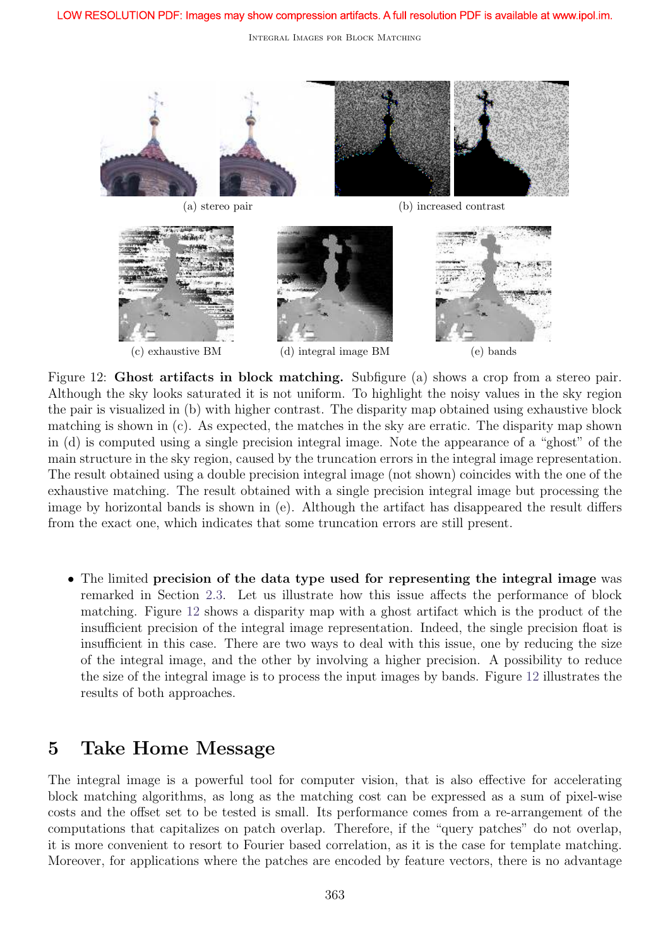

Figure 12: **Ghost artifacts in block matching.** Subfigure (a) shows a crop from a stereo pair. Although the sky looks saturated it is not uniform. To highlight the noisy values in the sky region the pair is visualized in (b) with higher contrast. The disparity map obtained using exhaustive block matching is shown in (c). As expected, the matches in the sky are erratic. The disparity map shown in (d) is computed using a single precision integral image. Note the appearance of a "ghost" of the main structure in the sky region, caused by the truncation errors in the integral image representation. The result obtained using a double precision integral image (not shown) coincides with the one of the exhaustive matching. The result obtained with a single precision integral image but processing the image by horizontal bands is shown in (e). Although the artifact has disappeared the result differs from the exact one, which indicates that some truncation errors are still present.

• The limited precision of the data type used for representing the integral image was remarked in Section 2.3. Let us illustrate how this issue affects the performance of block matching. Figure 12 shows a disparity map with a ghost artifact which is the product of the insufficient precision of the integral image representation. Indeed, the single precision float is insufficient in this case. There are two ways to deal with this issue, one by reducing the size of the integral image, and the other by involving a higher precision. A possibility to reduce the size of the integral image is to process the input images by bands. Figure 12 illustrates the results of both approaches.

## 5 Take Home Message

The integral image is a powerful tool for computer vision, that is also effective for accelerating block matching algorithms, as long as the matching cost can be expressed as a sum of pixel-wise costs and the offset set to be tested is small. Its performance comes from a re-arrangement of the computations that capitalizes on patch overlap. Therefore, if the "query patches" do not overlap, it is more convenient to resort to Fourier based correlation, as it is the case for template matching. Moreover, for applications where the patches are encoded by feature vectors, there is no advantage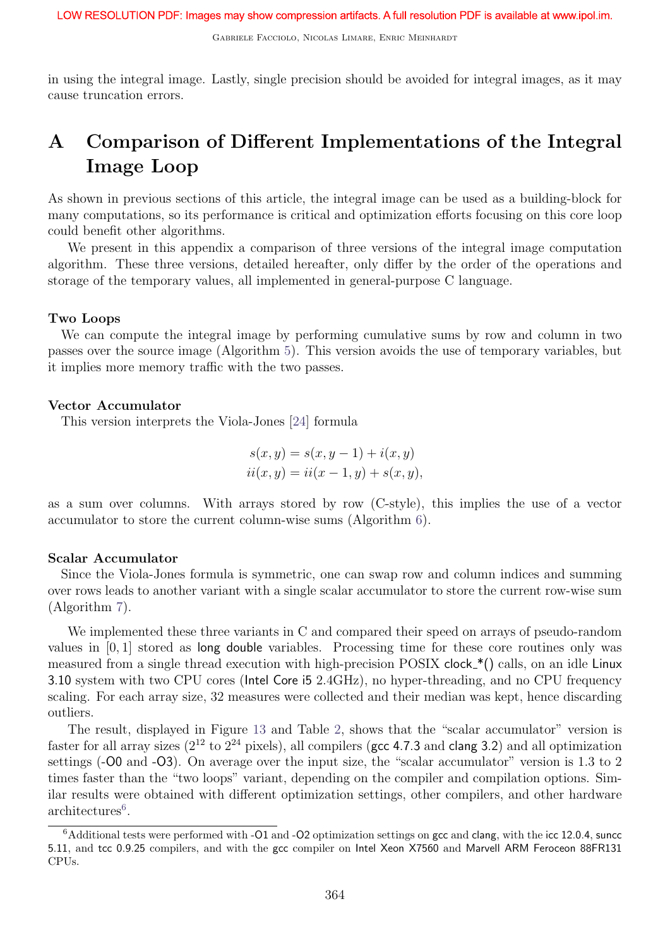Gabriele Facciolo, Nicolas Limare, Enric Meinhardt

in using the integral image. Lastly, single precision should be avoided for integral images, as it may cause truncation errors.

# A Comparison of Different Implementations of the Integral Image Loop

As shown in previous sections of this article, the integral image can be used as a building-block for many computations, so its performance is critical and optimization efforts focusing on this core loop could benefit other algorithms.

We present in this appendix a comparison of three versions of the integral image computation algorithm. These three versions, detailed hereafter, only differ by the order of the operations and storage of the temporary values, all implemented in general-purpose C language.

#### Two Loops

We can compute the integral image by performing cumulative sums by row and column in two passes over the source image (Algorithm 5). This version avoids the use of temporary variables, but it implies more memory traffic with the two passes.

#### Vector Accumulator

This version interprets the Viola-Jones [24] formula

$$
s(x, y) = s(x, y - 1) + i(x, y)
$$
  
ii(x, y) = ii(x - 1, y) + s(x, y),

as a sum over columns. With arrays stored by row (C-style), this implies the use of a vector accumulator to store the current column-wise sums (Algorithm 6).

#### Scalar Accumulator

Since the Viola-Jones formula is symmetric, one can swap row and column indices and summing over rows leads to another variant with a single scalar accumulator to store the current row-wise sum (Algorithm 7).

We implemented these three variants in C and compared their speed on arrays of pseudo-random values in [0, 1] stored as long double variables. Processing time for these core routines only was measured from a single thread execution with high-precision POSIX clock  $*($ ) calls, on an idle Linux 3.10 system with two CPU cores (Intel Core i5 2.4GHz), no hyper-threading, and no CPU frequency scaling. For each array size, 32 measures were collected and their median was kept, hence discarding outliers.

The result, displayed in Figure 13 and Table 2, shows that the "scalar accumulator" version is faster for all array sizes  $(2^{12} \text{ to } 2^{24} \text{ pixels})$ , all compilers (gcc 4.7.3 and clang 3.2) and all optimization settings (-00 and -03). On average over the input size, the "scalar accumulator" version is 1.3 to 2 times faster than the "two loops" variant, depending on the compiler and compilation options. Similar results were obtained with different optimization settings, other compilers, and other hardware architectures<sup>6</sup>.

 $6$ Additional tests were performed with -O1 and -O2 optimization settings on gcc and clang, with the icc 12.0.4, suncc 5.11, and tcc 0.9.25 compilers, and with the gcc compiler on Intel Xeon X7560 and Marvell ARM Feroceon 88FR131 CPUs.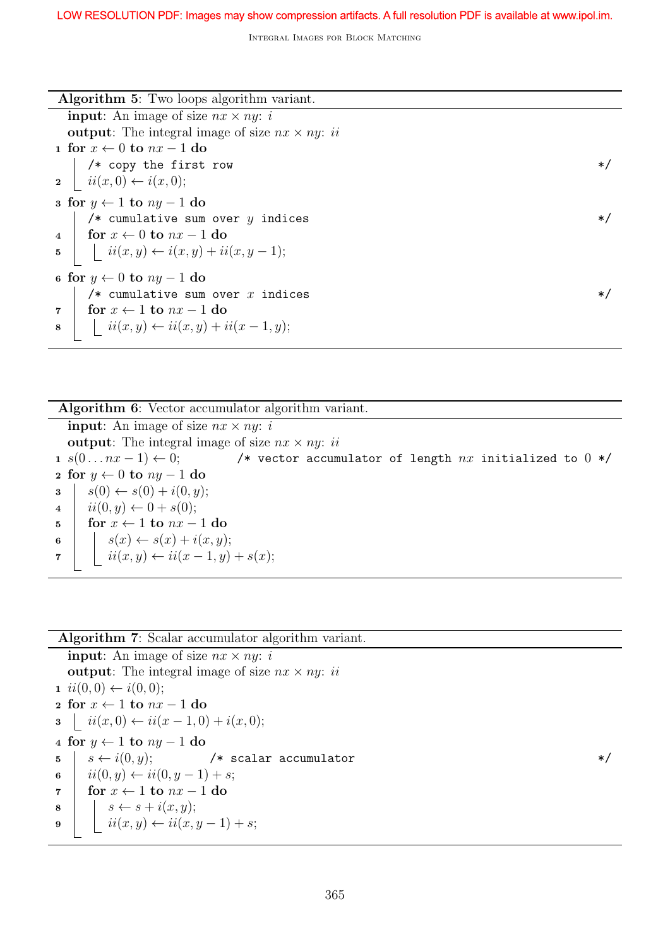| <b>Algorithm 5:</b> Two loops algorithm variant.                                                   |        |  |
|----------------------------------------------------------------------------------------------------|--------|--|
| <b>input:</b> An image of size $nx \times ny$ : i                                                  |        |  |
| <b>output</b> : The integral image of size $nx \times ny$ : <i>ii</i>                              |        |  |
| 1 for $x \leftarrow 0$ to $nx - 1$ do                                                              |        |  |
| /* copy the first row                                                                              | $*$ /  |  |
| $\mathbf{a} \mid ii(x,0) \leftarrow i(x,0);$                                                       |        |  |
| s for $y \leftarrow 1$ to $ny - 1$ do                                                              |        |  |
| /* cumulative sum over $y$ indices                                                                 | $*$ /  |  |
| 4   for $x \leftarrow 0$ to $nx - 1$ do                                                            |        |  |
| 5 $\big $ $ii(x, y) \leftarrow i(x, y) + ii(x, y - 1);$                                            |        |  |
| 6 for $y \leftarrow 0$ to $ny - 1$ do                                                              |        |  |
| /* cumulative sum over $x$ indices                                                                 | $\ast$ |  |
| for $x \leftarrow 1$ to $nx - 1$ do<br>$\overline{7}$                                              |        |  |
| $\begin{array}{c c} \mathbf{8} &   &   & ii(x, y) \leftarrow ii(x, y) + ii(x - 1, y); \end{array}$ |        |  |

Algorithm 6: Vector accumulator algorithm variant. **input:** An image of size  $nx \times ny$ : *i* **output**: The integral image of size  $nx \times ny$ : *ii* 1  $s(0...nx-1) \leftarrow 0;$  /\* vector accumulator of length nx initialized to 0 \*/ 2 for  $y \leftarrow 0$  to  $ny - 1$  do  $s(0) \leftarrow s(0) + i(0, y);$  $4 \mid ii(0, y) \leftarrow 0 + s(0);$ 5 for  $x \leftarrow 1$  to  $nx - 1$  do 6  $\vert s(x) \leftarrow s(x) + i(x, y);$ 7  $\vert i(x, y) \leftarrow ii(x - 1, y) + s(x);$ 

#### Algorithm 7: Scalar accumulator algorithm variant.

**input:** An image of size  $nx \times ny$ : *i* output: The integral image of size  $nx \times ny$ : ii 1  $ii(0, 0) \leftarrow i(0, 0);$ 2 for  $x \leftarrow 1$  to  $nx - 1$  do  $3 \mid ii(x, 0) \leftarrow ii(x - 1, 0) + i(x, 0);$ 4 for  $y \leftarrow 1$  to  $ny - 1$  do  $5 \mid s \leftarrow i(0, y);$  /\* scalar accumulator \*/ 6  $ii(0, y) \leftarrow ii(0, y - 1) + s;$ 7 for  $x \leftarrow 1$  to  $nx - 1$  do  $\begin{array}{c|c|c|c} \mathbf{s} & | & s \leftarrow s + i(x, y); \end{array}$ <sup>9</sup> ii(x, y) ← ii(x, y − 1) + s;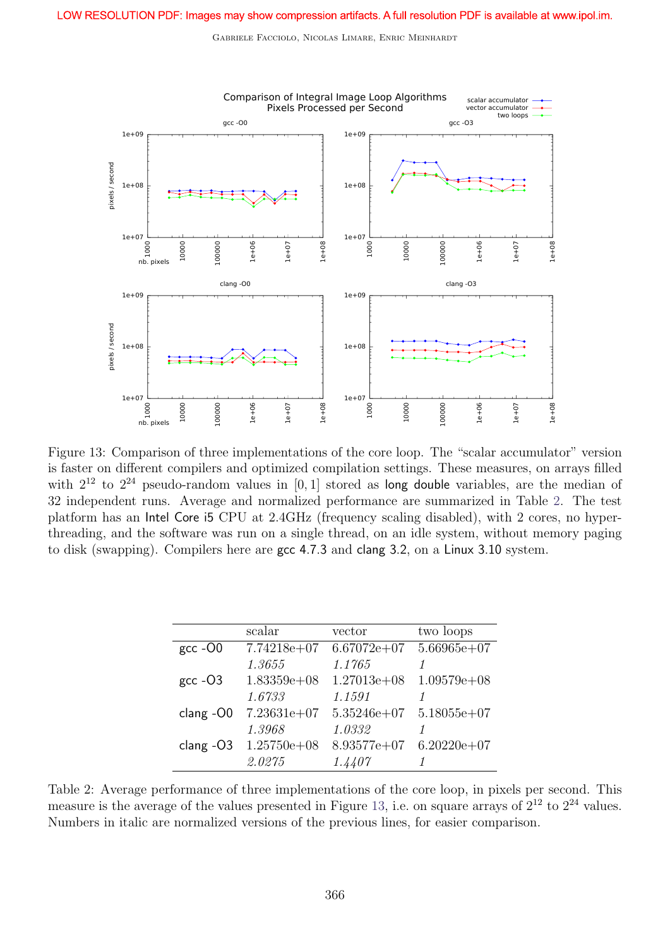

Figure 13: Comparison of three implementations of the core loop. The "scalar accumulator" version is faster on different compilers and optimized compilation settings. These measures, on arrays filled with  $2^{12}$  to  $2^{24}$  pseudo-random values in [0, 1] stored as long double variables, are the median of 32 independent runs. Average and normalized performance are summarized in Table 2. The test platform has an Intel Core i5 CPU at 2.4GHz (frequency scaling disabled), with 2 cores, no hyperthreading, and the software was run on a single thread, on an idle system, without memory paging to disk (swapping). Compilers here are gcc 4.7.3 and clang 3.2, on a Linux 3.10 system.

|               | scalar          | vector        | two loops       |
|---------------|-----------------|---------------|-----------------|
| $gcc - O0$    | $7.74218e+07$   | $6.67072e+07$ | $5.66965e+07$   |
|               | 1.3655          | 1.1765        |                 |
| $\rm gcc$ -O3 | $1.83359e+08$   | $1.27013e+08$ | $1.09579e + 08$ |
|               | 1.6733          | 1.1591        |                 |
| $clang -OO$   | $7.23631e+07$   | $5.35246e+07$ | $5.18055e+07$   |
|               | 1.3968          | 1.0332        |                 |
| $clang -O3$   | $1.25750e + 08$ | $8.93577e+07$ | $6.20220e + 07$ |
|               | 2.0275          | 1.4407        |                 |

Table 2: Average performance of three implementations of the core loop, in pixels per second. This measure is the average of the values presented in Figure 13, i.e. on square arrays of  $2^{12}$  to  $2^{24}$  values. Numbers in italic are normalized versions of the previous lines, for easier comparison.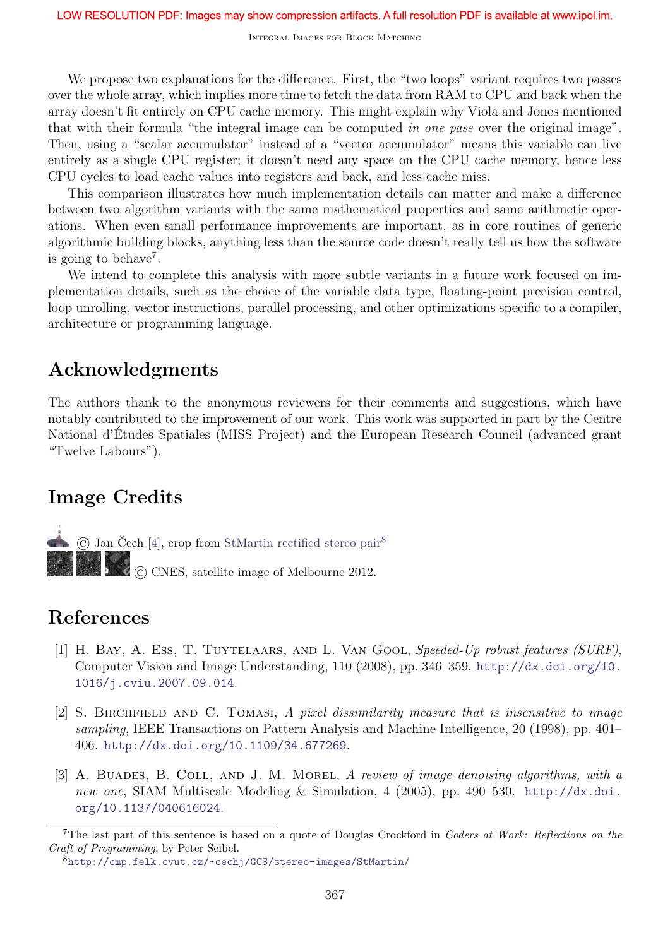We propose two explanations for the difference. First, the "two loops" variant requires two passes over the whole array, which implies more time to fetch the data from RAM to CPU and back when the array doesn't fit entirely on CPU cache memory. This might explain why Viola and Jones mentioned that with their formula "the integral image can be computed in one pass over the original image". Then, using a "scalar accumulator" instead of a "vector accumulator" means this variable can live entirely as a single CPU register; it doesn't need any space on the CPU cache memory, hence less CPU cycles to load cache values into registers and back, and less cache miss.

This comparison illustrates how much implementation details can matter and make a difference between two algorithm variants with the same mathematical properties and same arithmetic operations. When even small performance improvements are important, as in core routines of generic algorithmic building blocks, anything less than the source code doesn't really tell us how the software is going to behave<sup>7</sup>.

We intend to complete this analysis with more subtle variants in a future work focused on implementation details, such as the choice of the variable data type, floating-point precision control, loop unrolling, vector instructions, parallel processing, and other optimizations specific to a compiler, architecture or programming language.

# Acknowledgments

The authors thank to the anonymous reviewers for their comments and suggestions, which have notably contributed to the improvement of our work. This work was supported in part by the Centre National d'Etudes Spatiales (MISS Project) and the European Research Council (advanced grant "Twelve Labours").

# Image Credits

 $\overline{C}$  Jan Čech [4], crop from StMartin rectified stereo pair<sup>8</sup> © CNES, satellite image of Melbourne 2012.

## References

- [1] H. Bay, A. Ess, T. Tuytelaars, and L. Van Gool, Speeded-Up robust features (SURF), Computer Vision and Image Understanding, 110 (2008), pp. 346–359. http://dx.doi.org/10. 1016/j.cviu.2007.09.014.
- [2] S. Birchfield and C. Tomasi, A pixel dissimilarity measure that is insensitive to image sampling, IEEE Transactions on Pattern Analysis and Machine Intelligence, 20 (1998), pp. 401– 406. http://dx.doi.org/10.1109/34.677269.
- [3] A. BUADES, B. COLL, AND J. M. MOREL, A review of image denoising algorithms, with a new one, SIAM Multiscale Modeling & Simulation, 4 (2005), pp. 490-530. http://dx.doi. org/10.1137/040616024.

<sup>&</sup>lt;sup>7</sup>The last part of this sentence is based on a quote of Douglas Crockford in Coders at Work: Reflections on the Craft of Programming, by Peter Seibel.

<sup>8</sup>http://cmp.felk.cvut.cz/~cechj/GCS/stereo-images/StMartin/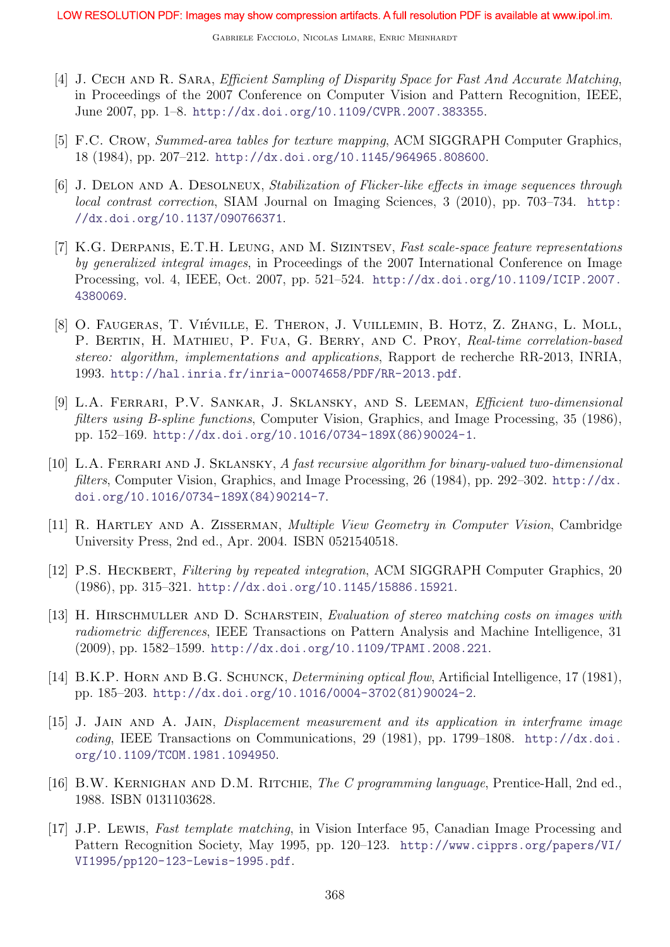- [4] J. CECH AND R. SARA, *Efficient Sampling of Disparity Space for Fast And Accurate Matching*, in Proceedings of the 2007 Conference on Computer Vision and Pattern Recognition, IEEE, June 2007, pp. 1–8. http://dx.doi.org/10.1109/CVPR.2007.383355.
- [5] F.C. CROW, Summed-area tables for texture mapping, ACM SIGGRAPH Computer Graphics, 18 (1984), pp. 207–212. http://dx.doi.org/10.1145/964965.808600.
- [6] J. Delon and A. Desolneux, Stabilization of Flicker-like effects in image sequences through local contrast correction, SIAM Journal on Imaging Sciences, 3 (2010), pp. 703-734. http: //dx.doi.org/10.1137/090766371.
- [7] K.G. Derpanis, E.T.H. Leung, and M. Sizintsev, Fast scale-space feature representations by generalized integral images, in Proceedings of the 2007 International Conference on Image Processing, vol. 4, IEEE, Oct. 2007, pp. 521–524. http://dx.doi.org/10.1109/ICIP.2007. 4380069.
- [8] O. FAUGERAS, T. VIÉVILLE, E. THERON, J. VUILLEMIN, B. HOTZ, Z. ZHANG, L. MOLL, P. BERTIN, H. MATHIEU, P. FUA, G. BERRY, AND C. PROY, Real-time correlation-based stereo: algorithm, implementations and applications, Rapport de recherche RR-2013, INRIA, 1993. http://hal.inria.fr/inria-00074658/PDF/RR-2013.pdf.
- [9] L.A. Ferrari, P.V. Sankar, J. Sklansky, and S. Leeman, Efficient two-dimensional filters using B-spline functions, Computer Vision, Graphics, and Image Processing, 35 (1986), pp. 152–169. http://dx.doi.org/10.1016/0734-189X(86)90024-1.
- [10] L.A. Ferrari and J. Sklansky, A fast recursive algorithm for binary-valued two-dimensional filters, Computer Vision, Graphics, and Image Processing, 26 (1984), pp. 292–302. http://dx. doi.org/10.1016/0734-189X(84)90214-7.
- [11] R. Hartley and A. Zisserman, Multiple View Geometry in Computer Vision, Cambridge University Press, 2nd ed., Apr. 2004. ISBN 0521540518.
- [12] P.S. HECKBERT, Filtering by repeated integration, ACM SIGGRAPH Computer Graphics, 20 (1986), pp. 315–321. http://dx.doi.org/10.1145/15886.15921.
- [13] H. Hirschmuller and D. Scharstein, Evaluation of stereo matching costs on images with radiometric differences, IEEE Transactions on Pattern Analysis and Machine Intelligence, 31 (2009), pp. 1582–1599. http://dx.doi.org/10.1109/TPAMI.2008.221.
- [14] B.K.P. HORN AND B.G. SCHUNCK, *Determining optical flow*, Artificial Intelligence, 17 (1981), pp. 185–203. http://dx.doi.org/10.1016/0004-3702(81)90024-2.
- [15] J. Jain and A. Jain, Displacement measurement and its application in interframe image coding, IEEE Transactions on Communications, 29 (1981), pp. 1799–1808. http://dx.doi. org/10.1109/TCOM.1981.1094950.
- [16] B.W. KERNIGHAN AND D.M. RITCHIE, The C programming language, Prentice-Hall, 2nd ed., 1988. ISBN 0131103628.
- [17] J.P. Lewis, Fast template matching, in Vision Interface 95, Canadian Image Processing and Pattern Recognition Society, May 1995, pp. 120–123. http://www.cipprs.org/papers/VI/ VI1995/pp120-123-Lewis-1995.pdf.